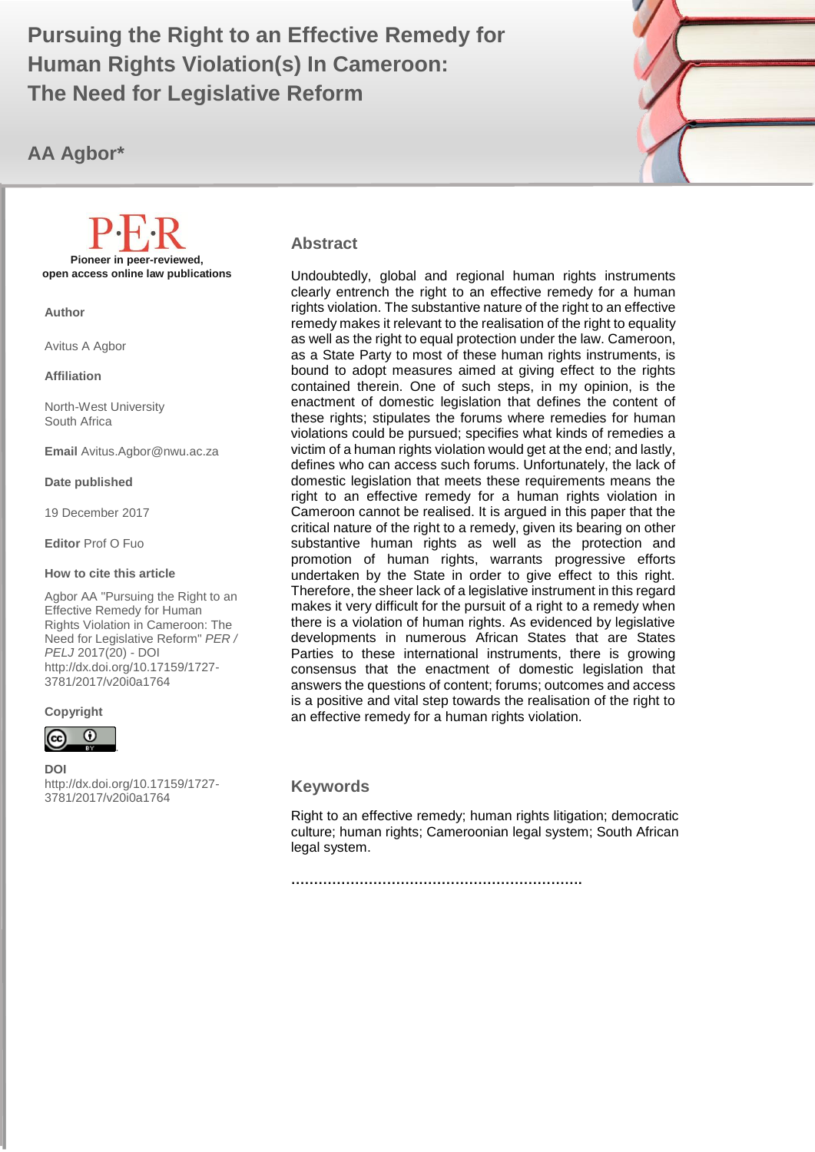**A** Human Rights Violation(s) In Cameroon: **A CALCE 2017 (20) Pursuing the Right to an Effective Remedy for The Need for Legislative Reform**

**AA Agbor\***



#### **Abstract**

Undoubtedly, global and regional human rights instruments clearly entrench the right to an effective remedy for a human rights violation. The substantive nature of the right to an effective remedy makes it relevant to the realisation of the right to equality as well as the right to equal protection under the law. Cameroon, as a State Party to most of these human rights instruments, is bound to adopt measures aimed at giving effect to the rights contained therein. One of such steps, in my opinion, is the enactment of domestic legislation that defines the content of these rights; stipulates the forums where remedies for human violations could be pursued; specifies what kinds of remedies a victim of a human rights violation would get at the end: and lastly, defines who can access such forums. Unfortunately, the lack of domestic legislation that meets these requirements means the right to an effective remedy for a human rights violation in Cameroon cannot be realised. It is argued in this paper that the critical nature of the right to a remedy, given its bearing on other substantive human rights as well as the protection and promotion of human rights, warrants progressive efforts undertaken by the State in order to give effect to this right. Therefore, the sheer lack of a legislative instrument in this regard makes it very difficult for the pursuit of a right to a remedy when there is a violation of human rights. As evidenced by legislative developments in numerous African States that are States Parties to these international instruments, there is growing consensus that the enactment of domestic legislation that answers the questions of content; forums; outcomes and access is a positive and vital step towards the realisation of the right to an effective remedy for a human rights violation.

#### **Keywords**

Right to an effective remedy; human rights litigation; democratic culture; human rights; Cameroonian legal system; South African legal system.

**……………………………………………………….**



**Author**

Avitus A Agbor

**Affiliation**

North-West University South Africa

**Email** Avitus.Agbor@nwu.ac.za

**Date published**

19 December 2017

**Editor** Prof O Fuo

#### **How to cite this article**

Agbor AA "Pursuing the Right to an Effective Remedy for Human Rights Violation in Cameroon: The Need for Legislative Reform" *PER / PELJ* 2017(20) - DOI http://dx.doi.org/10.17159/1727- 3781/2017/v20i0a1764

#### **Copyright**



#### **DOI**

http://dx.doi.org/10.17159/1727- 3781/2017/v20i0a1764

.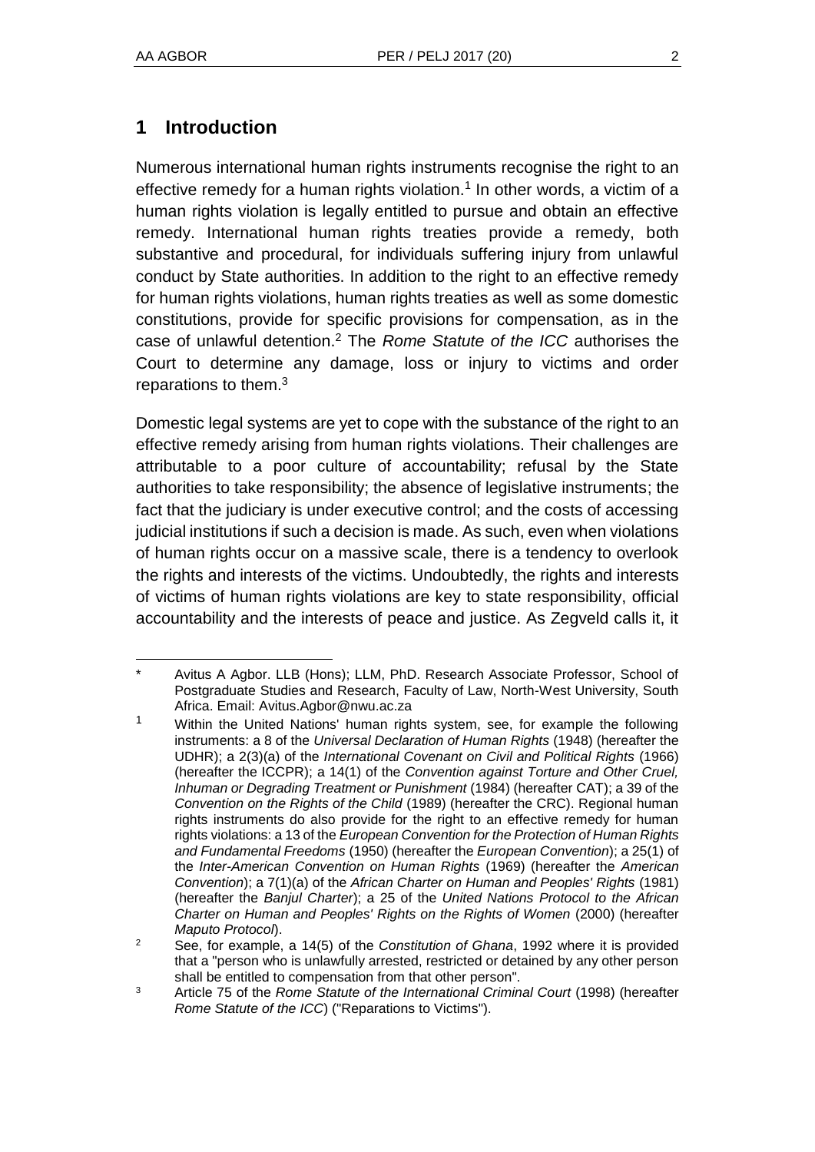## **1 Introduction**

Numerous international human rights instruments recognise the right to an effective remedy for a human rights violation.<sup>1</sup> In other words, a victim of a human rights violation is legally entitled to pursue and obtain an effective remedy. International human rights treaties provide a remedy, both substantive and procedural, for individuals suffering injury from unlawful conduct by State authorities. In addition to the right to an effective remedy for human rights violations, human rights treaties as well as some domestic constitutions, provide for specific provisions for compensation, as in the case of unlawful detention.<sup>2</sup> The *Rome Statute of the ICC* authorises the Court to determine any damage, loss or injury to victims and order reparations to them.<sup>3</sup>

Domestic legal systems are yet to cope with the substance of the right to an effective remedy arising from human rights violations. Their challenges are attributable to a poor culture of accountability; refusal by the State authorities to take responsibility; the absence of legislative instruments; the fact that the judiciary is under executive control; and the costs of accessing judicial institutions if such a decision is made. As such, even when violations of human rights occur on a massive scale, there is a tendency to overlook the rights and interests of the victims. Undoubtedly, the rights and interests of victims of human rights violations are key to state responsibility, official accountability and the interests of peace and justice. As Zegveld calls it, it

l \* Avitus A Agbor. LLB (Hons); LLM, PhD. Research Associate Professor, School of Postgraduate Studies and Research, Faculty of Law, North-West University, South Africa. Email: Avitus.Agbor@nwu.ac.za

<sup>&</sup>lt;sup>1</sup> Within the United Nations' human rights system, see, for example the following instruments: a 8 of the *Universal Declaration of Human Rights* (1948) (hereafter the UDHR); a 2(3)(a) of the *International Covenant on Civil and Political Rights* (1966) (hereafter the ICCPR); a 14(1) of the *Convention against Torture and Other Cruel, Inhuman or Degrading Treatment or Punishment* (1984) (hereafter CAT); a 39 of the *Convention on the Rights of the Child* (1989) (hereafter the CRC). Regional human rights instruments do also provide for the right to an effective remedy for human rights violations: a 13 of the *European Convention for the Protection of Human Rights and Fundamental Freedoms* (1950) (hereafter the *European Convention*); a 25(1) of the *Inter-American Convention on Human Rights* (1969) (hereafter the *American Convention*); a 7(1)(a) of the *African Charter on Human and Peoples' Rights* (1981) (hereafter the *Banjul Charter*); a 25 of the *United Nations Protocol to the African Charter on Human and Peoples' Rights on the Rights of Women* (2000) (hereafter *Maputo Protocol*).

<sup>2</sup> See, for example, a 14(5) of the *Constitution of Ghana*, 1992 where it is provided that a "person who is unlawfully arrested, restricted or detained by any other person shall be entitled to compensation from that other person".

<sup>3</sup> Article 75 of the *Rome Statute of the International Criminal Court* (1998) (hereafter *Rome Statute of the ICC*) ("Reparations to Victims").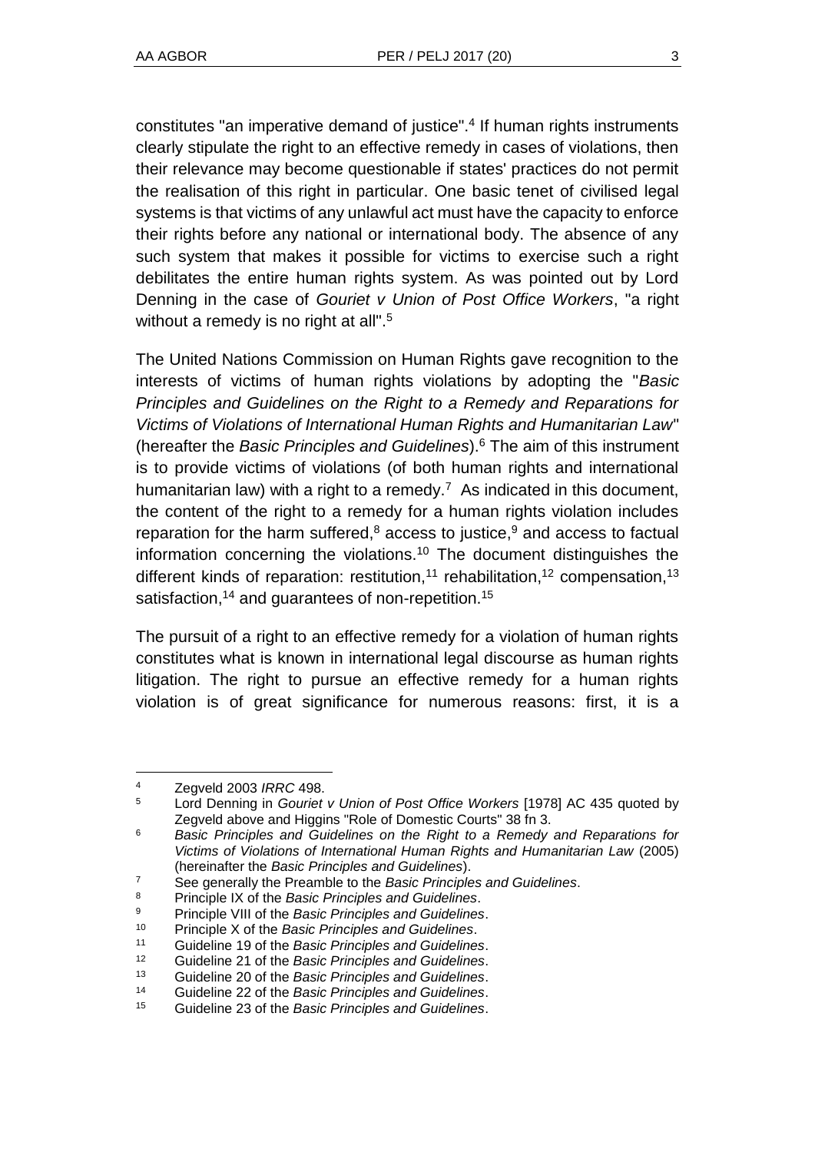constitutes "an imperative demand of justice".<sup>4</sup> If human rights instruments clearly stipulate the right to an effective remedy in cases of violations, then their relevance may become questionable if states' practices do not permit the realisation of this right in particular. One basic tenet of civilised legal systems is that victims of any unlawful act must have the capacity to enforce their rights before any national or international body. The absence of any such system that makes it possible for victims to exercise such a right debilitates the entire human rights system. As was pointed out by Lord Denning in the case of *Gouriet v Union of Post Office Workers*, "a right without a remedy is no right at all".<sup>5</sup>

The United Nations Commission on Human Rights gave recognition to the interests of victims of human rights violations by adopting the "*Basic Principles and Guidelines on the Right to a Remedy and Reparations for Victims of Violations of International Human Rights and Humanitarian Law*" (hereafter the *Basic Principles and Guidelines*).<sup>6</sup> The aim of this instrument is to provide victims of violations (of both human rights and international humanitarian law) with a right to a remedy.<sup>7</sup> As indicated in this document, the content of the right to a remedy for a human rights violation includes reparation for the harm suffered, $8$  access to justice, $9$  and access to factual information concerning the violations.<sup>10</sup> The document distinguishes the different kinds of reparation: restitution,<sup>11</sup> rehabilitation,<sup>12</sup> compensation,<sup>13</sup> satisfaction,<sup>14</sup> and guarantees of non-repetition.<sup>15</sup>

The pursuit of a right to an effective remedy for a violation of human rights constitutes what is known in international legal discourse as human rights litigation. The right to pursue an effective remedy for a human rights violation is of great significance for numerous reasons: first, it is a

<sup>4</sup> Zegveld 2003 *IRRC* 498.

<sup>5</sup> Lord Denning in *Gouriet v Union of Post Office Workers* [1978] AC 435 quoted by Zegveld above and Higgins "Role of Domestic Courts" 38 fn 3.

<sup>6</sup> *Basic Principles and Guidelines on the Right to a Remedy and Reparations for Victims of Violations of International Human Rights and Humanitarian Law* (2005) (hereinafter the *Basic Principles and Guidelines*).

<sup>7</sup> See generally the Preamble to the *Basic Principles and Guidelines*.

<sup>8</sup> Principle IX of the *Basic Principles and Guidelines*.

<sup>9</sup> Principle VIII of the *Basic Principles and Guidelines*.

<sup>10</sup> Principle X of the *Basic Principles and Guidelines*.

<sup>11</sup> Guideline 19 of the *Basic Principles and Guidelines*.

<sup>12</sup> Guideline 21 of the *Basic Principles and Guidelines*.

<sup>13</sup> Guideline 20 of the *Basic Principles and Guidelines*.

<sup>14</sup> Guideline 22 of the *Basic Principles and Guidelines*.

<sup>15</sup> Guideline 23 of the *Basic Principles and Guidelines*.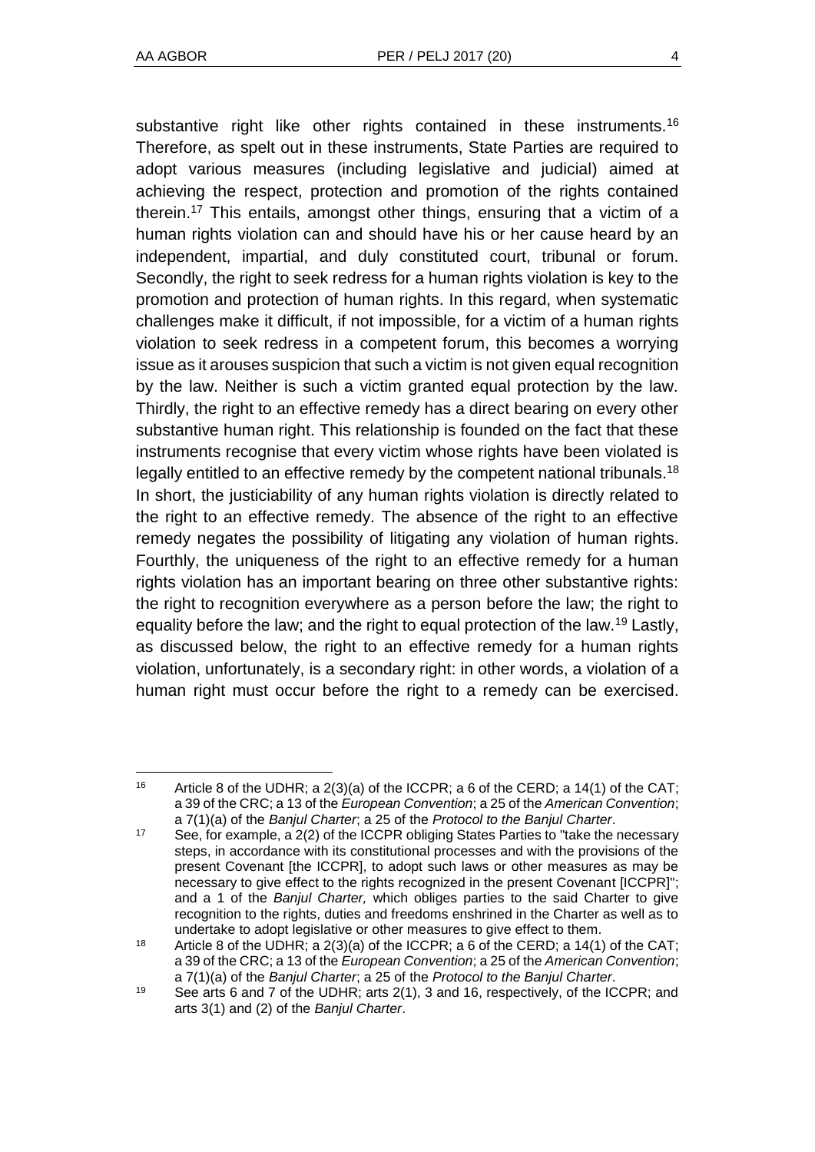substantive right like other rights contained in these instruments.<sup>16</sup> Therefore, as spelt out in these instruments, State Parties are required to adopt various measures (including legislative and judicial) aimed at achieving the respect, protection and promotion of the rights contained therein.<sup>17</sup> This entails, amongst other things, ensuring that a victim of a human rights violation can and should have his or her cause heard by an independent, impartial, and duly constituted court, tribunal or forum. Secondly, the right to seek redress for a human rights violation is key to the promotion and protection of human rights. In this regard, when systematic challenges make it difficult, if not impossible, for a victim of a human rights violation to seek redress in a competent forum, this becomes a worrying issue as it arouses suspicion that such a victim is not given equal recognition by the law. Neither is such a victim granted equal protection by the law. Thirdly, the right to an effective remedy has a direct bearing on every other substantive human right. This relationship is founded on the fact that these instruments recognise that every victim whose rights have been violated is legally entitled to an effective remedy by the competent national tribunals.<sup>18</sup> In short, the justiciability of any human rights violation is directly related to the right to an effective remedy. The absence of the right to an effective remedy negates the possibility of litigating any violation of human rights. Fourthly, the uniqueness of the right to an effective remedy for a human rights violation has an important bearing on three other substantive rights: the right to recognition everywhere as a person before the law; the right to equality before the law; and the right to equal protection of the law.<sup>19</sup> Lastly, as discussed below, the right to an effective remedy for a human rights violation, unfortunately, is a secondary right: in other words, a violation of a human right must occur before the right to a remedy can be exercised.

l <sup>16</sup> Article 8 of the UDHR; a  $2(3)(a)$  of the ICCPR; a 6 of the CERD; a 14(1) of the CAT; a 39 of the CRC; a 13 of the *European Convention*; a 25 of the *American Convention*; a 7(1)(a) of the *Banjul Charter*; a 25 of the *Protocol to the Banjul Charter*.

<sup>&</sup>lt;sup>17</sup> See, for example, a 2(2) of the ICCPR obliging States Parties to "take the necessary steps, in accordance with its constitutional processes and with the provisions of the present Covenant [the ICCPR], to adopt such laws or other measures as may be necessary to give effect to the rights recognized in the present Covenant [ICCPR]"; and a 1 of the *Banjul Charter,* which obliges parties to the said Charter to give recognition to the rights, duties and freedoms enshrined in the Charter as well as to undertake to adopt legislative or other measures to give effect to them.

<sup>&</sup>lt;sup>18</sup> Article 8 of the UDHR; a  $2(3)(a)$  of the ICCPR; a 6 of the CERD; a 14(1) of the CAT; a 39 of the CRC; a 13 of the *European Convention*; a 25 of the *American Convention*; a 7(1)(a) of the *Banjul Charter*; a 25 of the *Protocol to the Banjul Charter*.

<sup>19</sup> See arts 6 and 7 of the UDHR; arts 2(1), 3 and 16, respectively, of the ICCPR; and arts 3(1) and (2) of the *Banjul Charter*.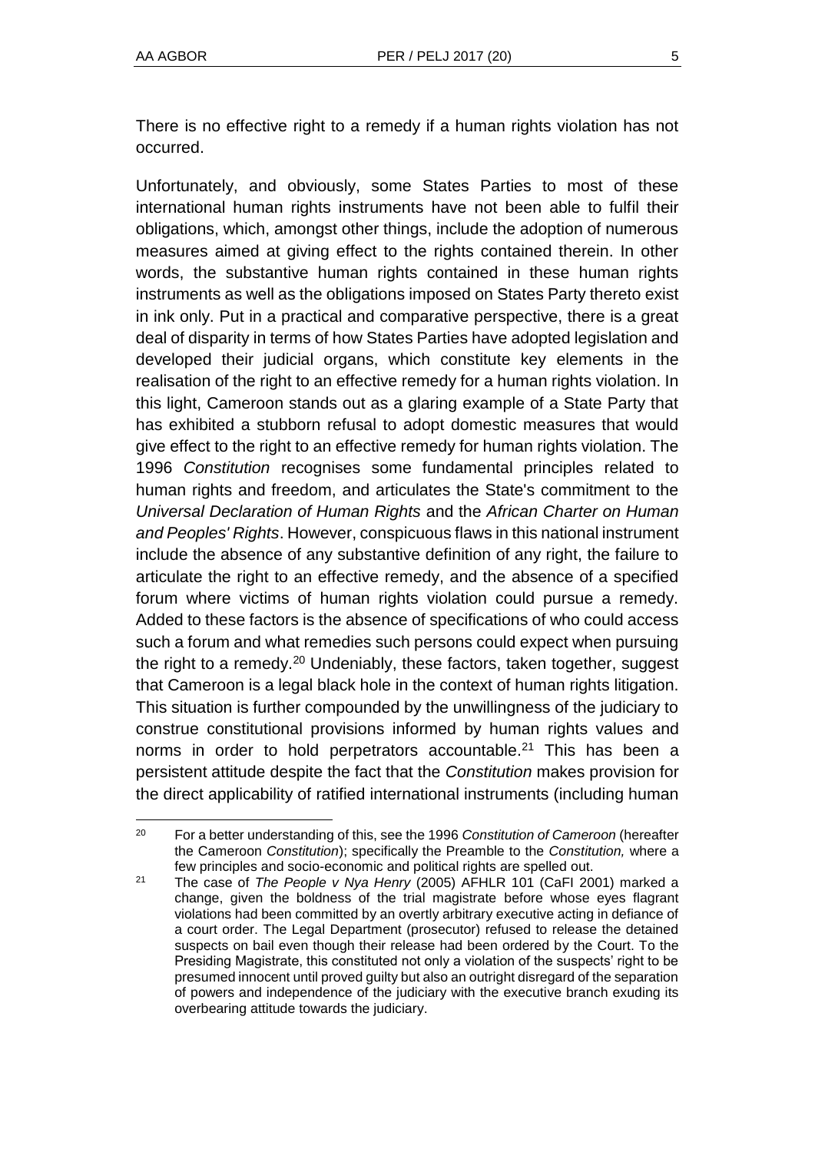$\overline{a}$ 

There is no effective right to a remedy if a human rights violation has not occurred.

Unfortunately, and obviously, some States Parties to most of these international human rights instruments have not been able to fulfil their obligations, which, amongst other things, include the adoption of numerous measures aimed at giving effect to the rights contained therein. In other words, the substantive human rights contained in these human rights instruments as well as the obligations imposed on States Party thereto exist in ink only. Put in a practical and comparative perspective, there is a great deal of disparity in terms of how States Parties have adopted legislation and developed their judicial organs, which constitute key elements in the realisation of the right to an effective remedy for a human rights violation. In this light, Cameroon stands out as a glaring example of a State Party that has exhibited a stubborn refusal to adopt domestic measures that would give effect to the right to an effective remedy for human rights violation. The 1996 *Constitution* recognises some fundamental principles related to human rights and freedom, and articulates the State's commitment to the *Universal Declaration of Human Rights* and the *African Charter on Human and Peoples' Rights*. However, conspicuous flaws in this national instrument include the absence of any substantive definition of any right, the failure to articulate the right to an effective remedy, and the absence of a specified forum where victims of human rights violation could pursue a remedy. Added to these factors is the absence of specifications of who could access such a forum and what remedies such persons could expect when pursuing the right to a remedy.<sup>20</sup> Undeniably, these factors, taken together, suggest that Cameroon is a legal black hole in the context of human rights litigation. This situation is further compounded by the unwillingness of the judiciary to construe constitutional provisions informed by human rights values and norms in order to hold perpetrators accountable.<sup>21</sup> This has been a persistent attitude despite the fact that the *Constitution* makes provision for the direct applicability of ratified international instruments (including human

<sup>20</sup> For a better understanding of this, see the 1996 *Constitution of Cameroon* (hereafter the Cameroon *Constitution*); specifically the Preamble to the *Constitution,* where a few principles and socio-economic and political rights are spelled out.

<sup>21</sup> The case of *The People v Nya Henry* (2005) AFHLR 101 (CaFI 2001) marked a change, given the boldness of the trial magistrate before whose eyes flagrant violations had been committed by an overtly arbitrary executive acting in defiance of a court order. The Legal Department (prosecutor) refused to release the detained suspects on bail even though their release had been ordered by the Court. To the Presiding Magistrate, this constituted not only a violation of the suspects' right to be presumed innocent until proved guilty but also an outright disregard of the separation of powers and independence of the judiciary with the executive branch exuding its overbearing attitude towards the judiciary.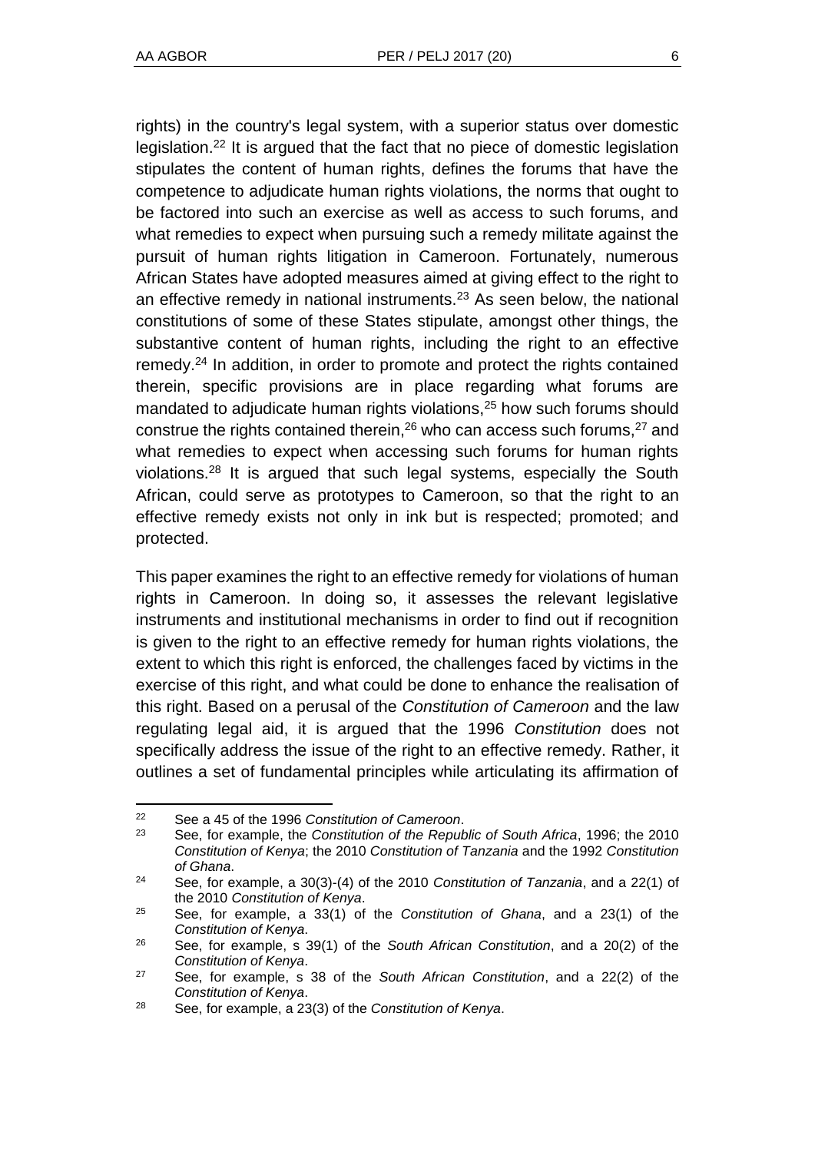rights) in the country's legal system, with a superior status over domestic legislation.<sup>22</sup> It is argued that the fact that no piece of domestic legislation stipulates the content of human rights, defines the forums that have the competence to adjudicate human rights violations, the norms that ought to be factored into such an exercise as well as access to such forums, and what remedies to expect when pursuing such a remedy militate against the pursuit of human rights litigation in Cameroon. Fortunately, numerous African States have adopted measures aimed at giving effect to the right to an effective remedy in national instruments.<sup>23</sup> As seen below, the national constitutions of some of these States stipulate, amongst other things, the substantive content of human rights, including the right to an effective remedy.<sup>24</sup> In addition, in order to promote and protect the rights contained therein, specific provisions are in place regarding what forums are mandated to adjudicate human rights violations,<sup>25</sup> how such forums should construe the rights contained therein,<sup>26</sup> who can access such forums, $27$  and what remedies to expect when accessing such forums for human rights violations.<sup>28</sup> It is argued that such legal systems, especially the South African, could serve as prototypes to Cameroon, so that the right to an effective remedy exists not only in ink but is respected; promoted; and protected.

This paper examines the right to an effective remedy for violations of human rights in Cameroon. In doing so, it assesses the relevant legislative instruments and institutional mechanisms in order to find out if recognition is given to the right to an effective remedy for human rights violations, the extent to which this right is enforced, the challenges faced by victims in the exercise of this right, and what could be done to enhance the realisation of this right. Based on a perusal of the *Constitution of Cameroon* and the law regulating legal aid, it is argued that the 1996 *Constitution* does not specifically address the issue of the right to an effective remedy. Rather, it outlines a set of fundamental principles while articulating its affirmation of

l <sup>22</sup> See a 45 of the 1996 *Constitution of Cameroon*.

<sup>23</sup> See, for example, the *Constitution of the Republic of South Africa*, 1996; the 2010 *Constitution of Kenya*; the 2010 *Constitution of Tanzania* and the 1992 *Constitution of Ghana*.

<sup>24</sup> See, for example, a 30(3)-(4) of the 2010 *Constitution of Tanzania*, and a 22(1) of the 2010 *Constitution of Kenya*.

<sup>25</sup> See, for example, a 33(1) of the *Constitution of Ghana*, and a 23(1) of the *Constitution of Kenya*.

<sup>26</sup> See, for example, s 39(1) of the *South African Constitution*, and a 20(2) of the *Constitution of Kenya*.

<sup>27</sup> See, for example, s 38 of the *South African Constitution*, and a 22(2) of the *Constitution of Kenya*.

<sup>28</sup> See, for example, a 23(3) of the *Constitution of Kenya*.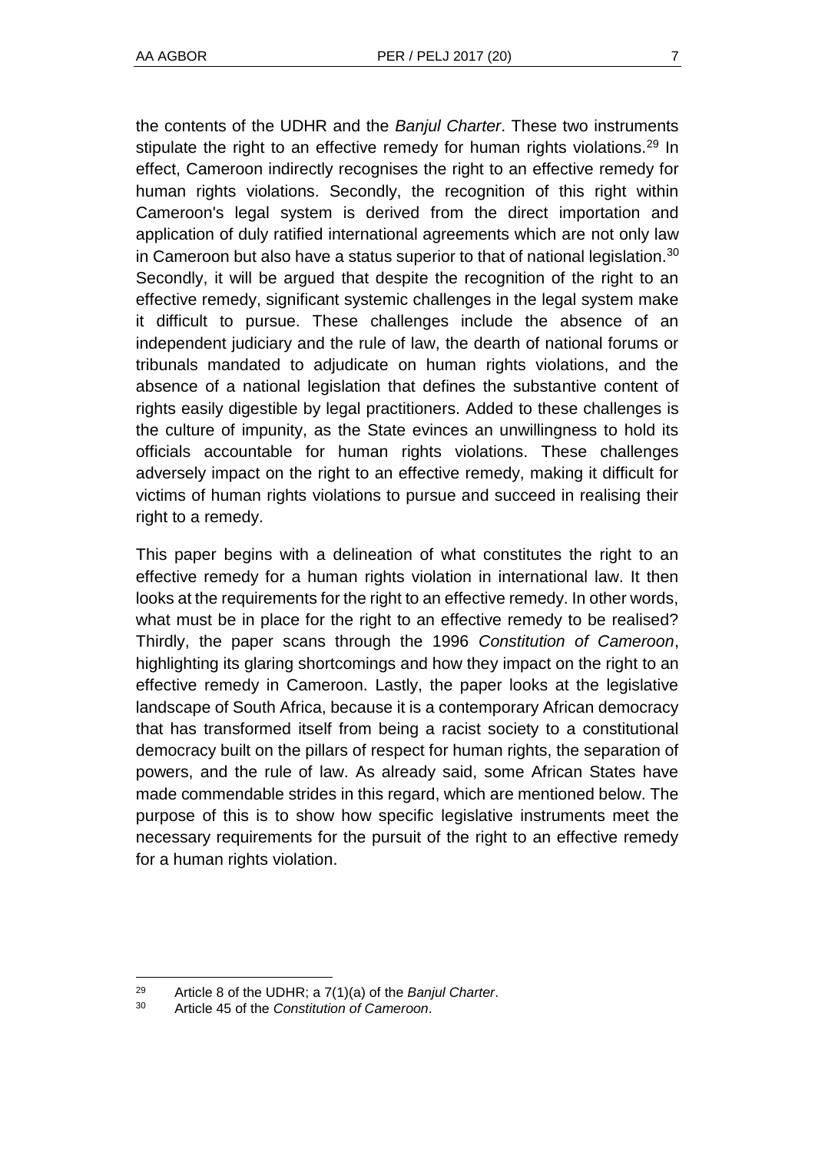the contents of the UDHR and the *Banjul Charter*. These two instruments stipulate the right to an effective remedy for human rights violations.<sup>29</sup> In effect, Cameroon indirectly recognises the right to an effective remedy for human rights violations. Secondly, the recognition of this right within Cameroon's legal system is derived from the direct importation and application of duly ratified international agreements which are not only law in Cameroon but also have a status superior to that of national legislation.<sup>30</sup> Secondly, it will be argued that despite the recognition of the right to an effective remedy, significant systemic challenges in the legal system make it difficult to pursue. These challenges include the absence of an independent judiciary and the rule of law, the dearth of national forums or tribunals mandated to adjudicate on human rights violations, and the absence of a national legislation that defines the substantive content of rights easily digestible by legal practitioners. Added to these challenges is the culture of impunity, as the State evinces an unwillingness to hold its officials accountable for human rights violations. These challenges adversely impact on the right to an effective remedy, making it difficult for victims of human rights violations to pursue and succeed in realising their right to a remedy.

This paper begins with a delineation of what constitutes the right to an effective remedy for a human rights violation in international law. It then looks at the requirements for the right to an effective remedy. In other words, what must be in place for the right to an effective remedy to be realised? Thirdly, the paper scans through the 1996 *Constitution of Cameroon*, highlighting its glaring shortcomings and how they impact on the right to an effective remedy in Cameroon. Lastly, the paper looks at the legislative landscape of South Africa, because it is a contemporary African democracy that has transformed itself from being a racist society to a constitutional democracy built on the pillars of respect for human rights, the separation of powers, and the rule of law. As already said, some African States have made commendable strides in this regard, which are mentioned below. The purpose of this is to show how specific legislative instruments meet the necessary requirements for the pursuit of the right to an effective remedy for a human rights violation.

<sup>29</sup> Article 8 of the UDHR; a 7(1)(a) of the *Banjul Charter*.

<sup>30</sup> Article 45 of the *Constitution of Cameroon*.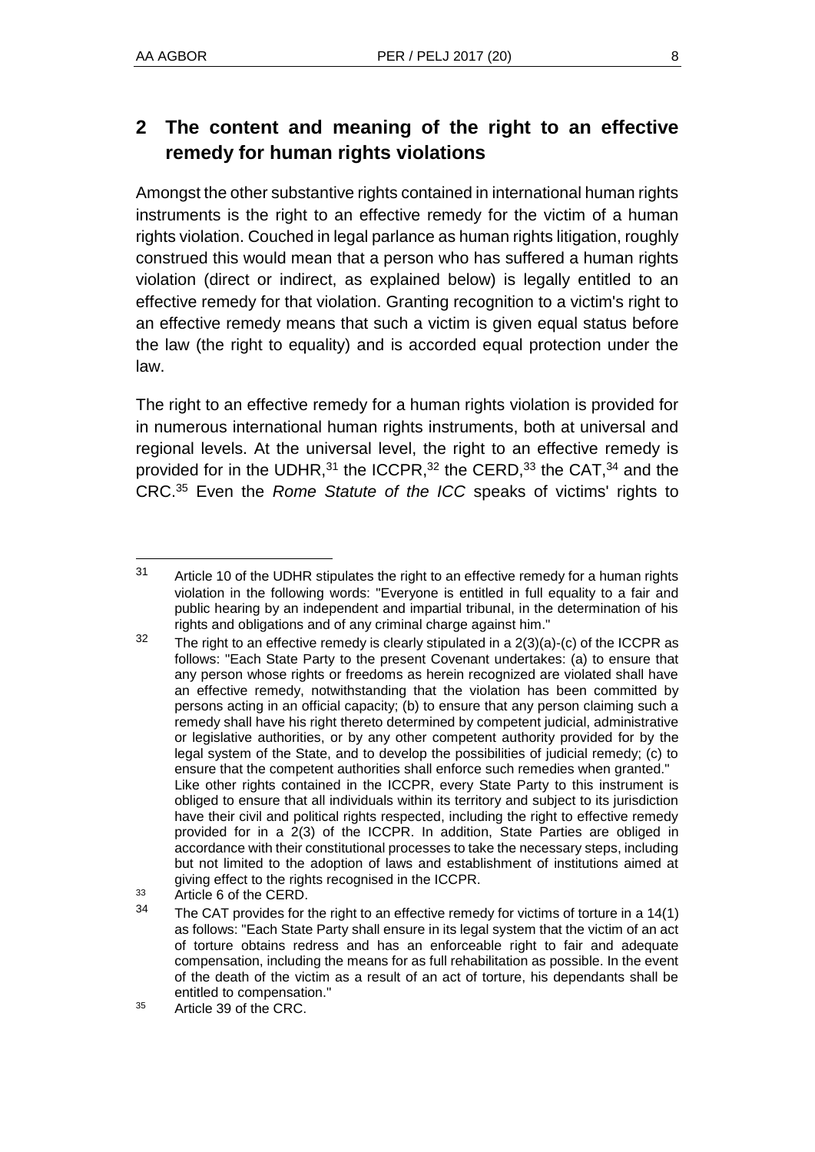l

## **2 The content and meaning of the right to an effective remedy for human rights violations**

Amongst the other substantive rights contained in international human rights instruments is the right to an effective remedy for the victim of a human rights violation. Couched in legal parlance as human rights litigation, roughly construed this would mean that a person who has suffered a human rights violation (direct or indirect, as explained below) is legally entitled to an effective remedy for that violation. Granting recognition to a victim's right to an effective remedy means that such a victim is given equal status before the law (the right to equality) and is accorded equal protection under the law.

The right to an effective remedy for a human rights violation is provided for in numerous international human rights instruments, both at universal and regional levels. At the universal level, the right to an effective remedy is provided for in the UDHR,  $31$  the ICCPR,  $32$  the CERD,  $33$  the CAT,  $34$  and the CRC.<sup>35</sup> Even the *Rome Statute of the ICC* speaks of victims' rights to

<sup>33</sup> Article 6 of the CERD.

<sup>&</sup>lt;sup>31</sup> Article 10 of the UDHR stipulates the right to an effective remedy for a human rights violation in the following words: "Everyone is entitled in full equality to a fair and public hearing by an independent and impartial tribunal, in the determination of his rights and obligations and of any criminal charge against him."

 $32$  The right to an effective remedy is clearly stipulated in a 2(3)(a)-(c) of the ICCPR as follows: "Each State Party to the present Covenant undertakes: (a) to ensure that any person whose rights or freedoms as herein recognized are violated shall have an effective remedy, notwithstanding that the violation has been committed by persons acting in an official capacity; (b) to ensure that any person claiming such a remedy shall have his right thereto determined by competent judicial, administrative or legislative authorities, or by any other competent authority provided for by the legal system of the State, and to develop the possibilities of judicial remedy; (c) to ensure that the competent authorities shall enforce such remedies when granted." Like other rights contained in the ICCPR, every State Party to this instrument is obliged to ensure that all individuals within its territory and subject to its jurisdiction have their civil and political rights respected, including the right to effective remedy provided for in a 2(3) of the ICCPR. In addition, State Parties are obliged in accordance with their constitutional processes to take the necessary steps, including but not limited to the adoption of laws and establishment of institutions aimed at giving effect to the rights recognised in the ICCPR.

 $34$  The CAT provides for the right to an effective remedy for victims of torture in a 14(1) as follows: "Each State Party shall ensure in its legal system that the victim of an act of torture obtains redress and has an enforceable right to fair and adequate compensation, including the means for as full rehabilitation as possible. In the event of the death of the victim as a result of an act of torture, his dependants shall be entitled to compensation."

<sup>35</sup> Article 39 of the CRC.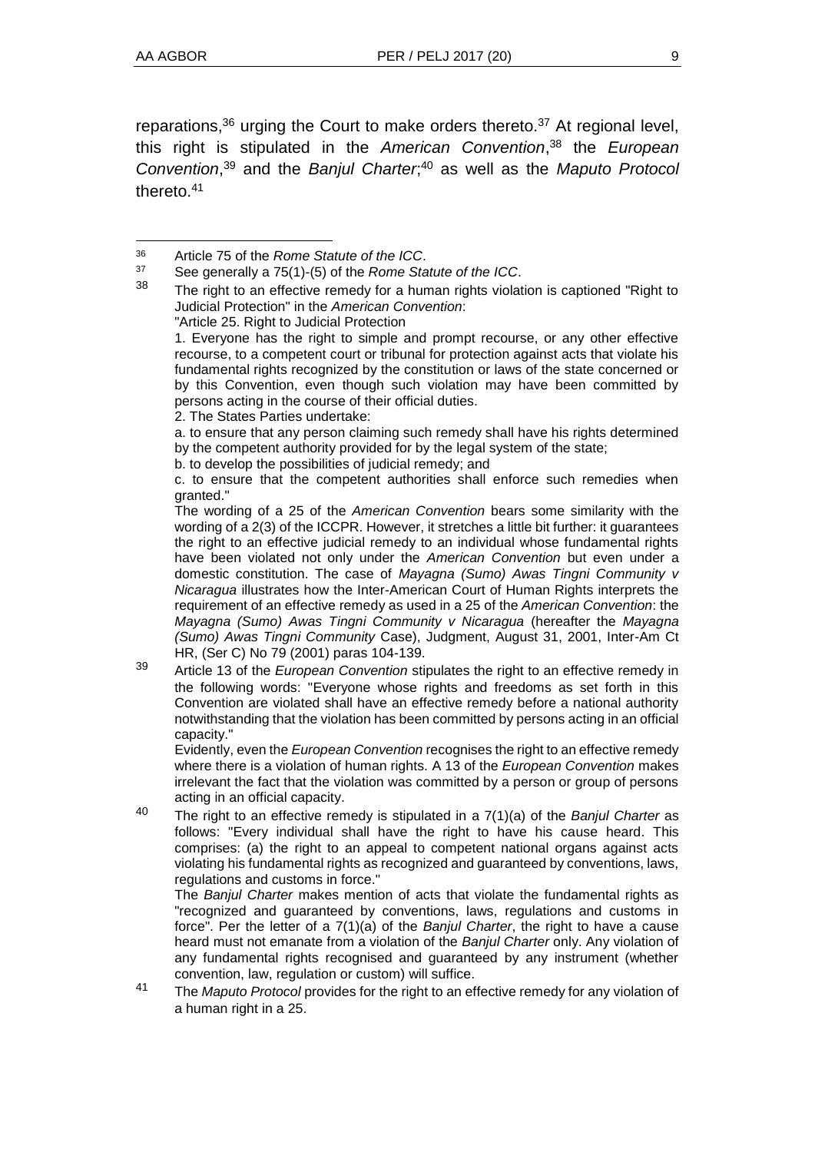reparations,  $36$  urging the Court to make orders thereto.  $37$  At regional level, this right is stipulated in the *American Convention*, <sup>38</sup> the *European Convention*, <sup>39</sup> and the *Banjul Charter*; <sup>40</sup> as well as the *Maputo Protocol* thereto.<sup>41</sup>

2. The States Parties undertake:

b. to develop the possibilities of judicial remedy; and

c. to ensure that the competent authorities shall enforce such remedies when granted."

<sup>39</sup> Article 13 of the *European Convention* stipulates the right to an effective remedy in the following words: "Everyone whose rights and freedoms as set forth in this Convention are violated shall have an effective remedy before a national authority notwithstanding that the violation has been committed by persons acting in an official capacity."

Evidently, even the *European Convention* recognises the right to an effective remedy where there is a violation of human rights. A 13 of the *European Convention* makes irrelevant the fact that the violation was committed by a person or group of persons acting in an official capacity.

<sup>40</sup> The right to an effective remedy is stipulated in a 7(1)(a) of the *Banjul Charter* as follows: "Every individual shall have the right to have his cause heard. This comprises: (a) the right to an appeal to competent national organs against acts violating his fundamental rights as recognized and guaranteed by conventions, laws, regulations and customs in force."

The *Banjul Charter* makes mention of acts that violate the fundamental rights as "recognized and guaranteed by conventions, laws, regulations and customs in force". Per the letter of a 7(1)(a) of the *Banjul Charter*, the right to have a cause heard must not emanate from a violation of the *Banjul Charter* only. Any violation of any fundamental rights recognised and guaranteed by any instrument (whether convention, law, regulation or custom) will suffice.

<sup>41</sup> The *Maputo Protocol* provides for the right to an effective remedy for any violation of a human right in a 25.

l <sup>36</sup> Article 75 of the *Rome Statute of the ICC*.

<sup>37</sup> See generally a 75(1)-(5) of the *Rome Statute of the ICC*.

The right to an effective remedy for a human rights violation is captioned "Right to Judicial Protection" in the *American Convention*:

<sup>&</sup>quot;Article 25. Right to Judicial Protection

<sup>1.</sup> Everyone has the right to simple and prompt recourse, or any other effective recourse, to a competent court or tribunal for protection against acts that violate his fundamental rights recognized by the constitution or laws of the state concerned or by this Convention, even though such violation may have been committed by persons acting in the course of their official duties.

a. to ensure that any person claiming such remedy shall have his rights determined by the competent authority provided for by the legal system of the state;

The wording of a 25 of the *American Convention* bears some similarity with the wording of a 2(3) of the ICCPR. However, it stretches a little bit further: it guarantees the right to an effective judicial remedy to an individual whose fundamental rights have been violated not only under the *American Convention* but even under a domestic constitution. The case of *Mayagna (Sumo) Awas Tingni Community v Nicaragua* illustrates how the Inter-American Court of Human Rights interprets the requirement of an effective remedy as used in a 25 of the *American Convention*: the *Mayagna (Sumo) Awas Tingni Community v Nicaragua* (hereafter the *Mayagna (Sumo) Awas Tingni Community* Case), Judgment, August 31, 2001, Inter-Am Ct HR, (Ser C) No 79 (2001) paras 104-139.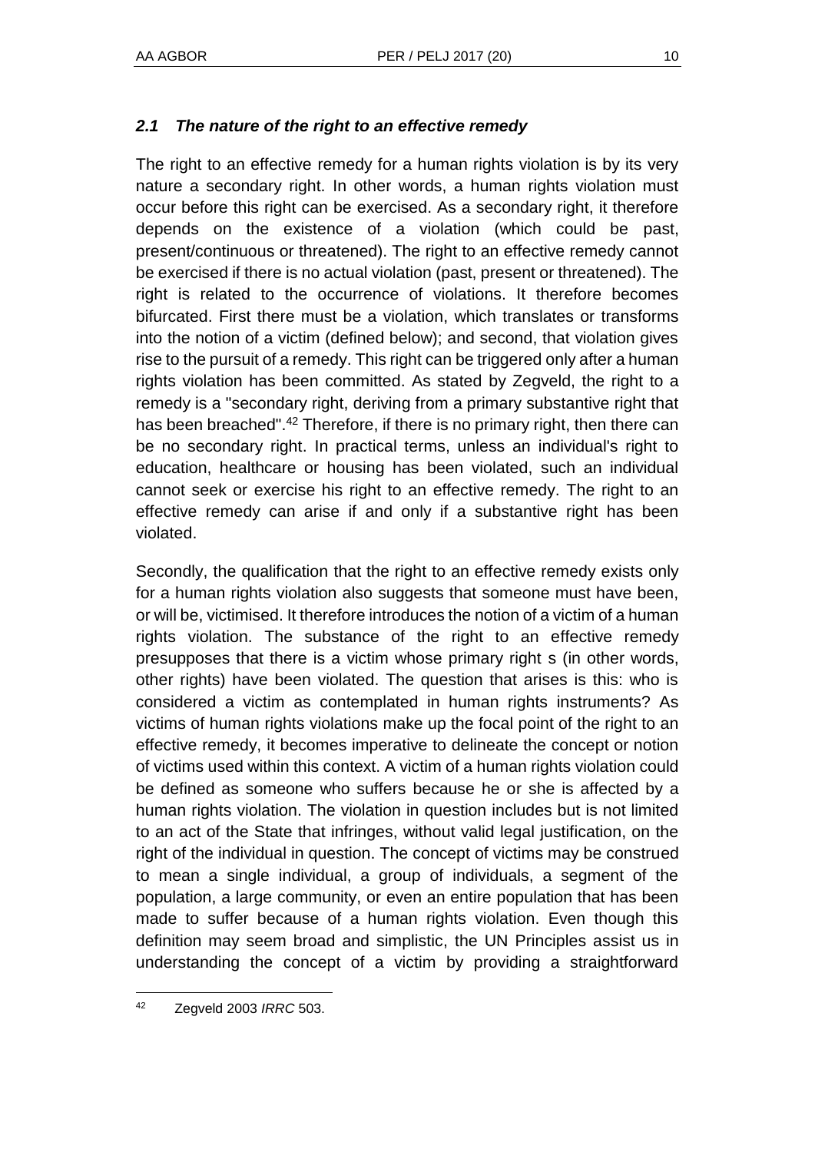## *2.1 The nature of the right to an effective remedy*

The right to an effective remedy for a human rights violation is by its very nature a secondary right. In other words, a human rights violation must occur before this right can be exercised. As a secondary right, it therefore depends on the existence of a violation (which could be past, present/continuous or threatened). The right to an effective remedy cannot be exercised if there is no actual violation (past, present or threatened). The right is related to the occurrence of violations. It therefore becomes bifurcated. First there must be a violation, which translates or transforms into the notion of a victim (defined below); and second, that violation gives rise to the pursuit of a remedy. This right can be triggered only after a human rights violation has been committed. As stated by Zegveld, the right to a remedy is a "secondary right, deriving from a primary substantive right that has been breached".<sup>42</sup> Therefore, if there is no primary right, then there can be no secondary right. In practical terms, unless an individual's right to education, healthcare or housing has been violated, such an individual cannot seek or exercise his right to an effective remedy. The right to an effective remedy can arise if and only if a substantive right has been violated.

Secondly, the qualification that the right to an effective remedy exists only for a human rights violation also suggests that someone must have been, or will be, victimised. It therefore introduces the notion of a victim of a human rights violation. The substance of the right to an effective remedy presupposes that there is a victim whose primary right s (in other words, other rights) have been violated. The question that arises is this: who is considered a victim as contemplated in human rights instruments? As victims of human rights violations make up the focal point of the right to an effective remedy, it becomes imperative to delineate the concept or notion of victims used within this context. A victim of a human rights violation could be defined as someone who suffers because he or she is affected by a human rights violation. The violation in question includes but is not limited to an act of the State that infringes, without valid legal justification, on the right of the individual in question. The concept of victims may be construed to mean a single individual, a group of individuals, a segment of the population, a large community, or even an entire population that has been made to suffer because of a human rights violation. Even though this definition may seem broad and simplistic, the UN Principles assist us in understanding the concept of a victim by providing a straightforward

l <sup>42</sup> Zegveld 2003 *IRRC* 503.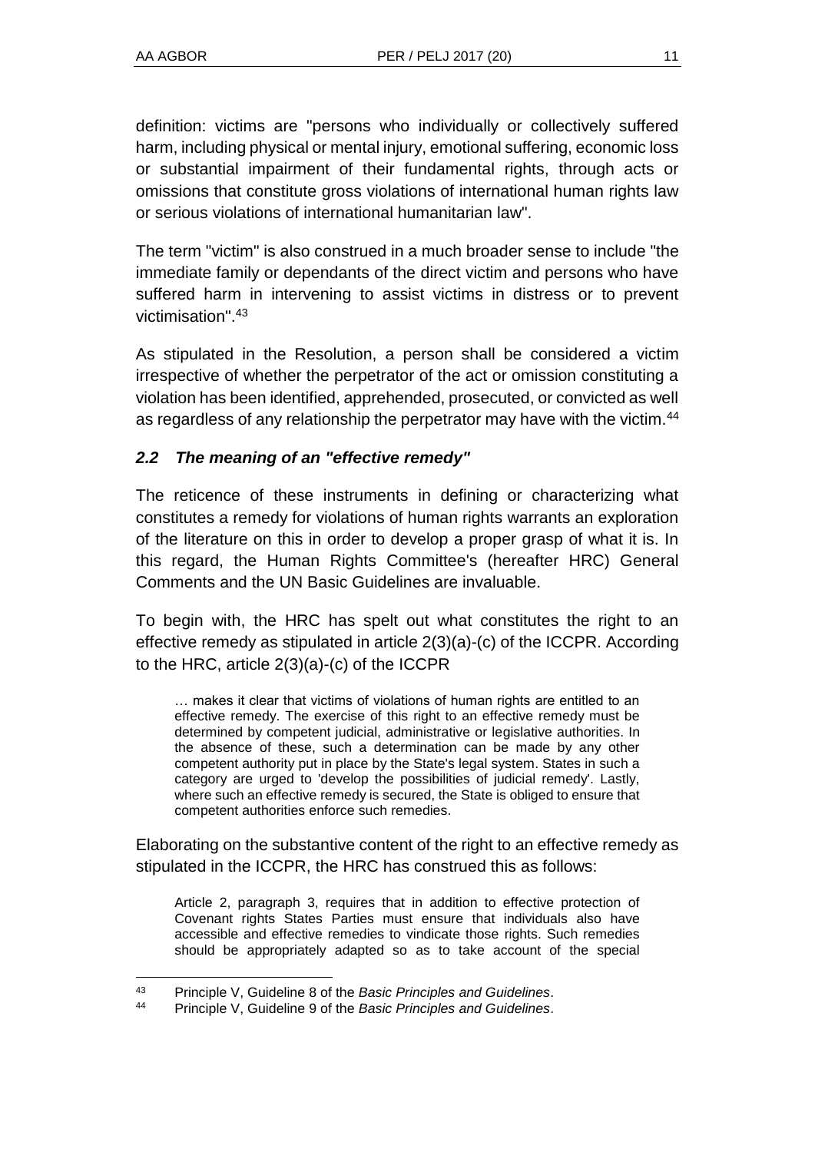definition: victims are "persons who individually or collectively suffered harm, including physical or mental injury, emotional suffering, economic loss or substantial impairment of their fundamental rights, through acts or omissions that constitute gross violations of international human rights law or serious violations of international humanitarian law".

The term "victim" is also construed in a much broader sense to include "the immediate family or dependants of the direct victim and persons who have suffered harm in intervening to assist victims in distress or to prevent victimisation".<sup>43</sup>

As stipulated in the Resolution, a person shall be considered a victim irrespective of whether the perpetrator of the act or omission constituting a violation has been identified, apprehended, prosecuted, or convicted as well as regardless of any relationship the perpetrator may have with the victim.<sup>44</sup>

## *2.2 The meaning of an "effective remedy"*

The reticence of these instruments in defining or characterizing what constitutes a remedy for violations of human rights warrants an exploration of the literature on this in order to develop a proper grasp of what it is. In this regard, the Human Rights Committee's (hereafter HRC) General Comments and the UN Basic Guidelines are invaluable.

To begin with, the HRC has spelt out what constitutes the right to an effective remedy as stipulated in article 2(3)(a)-(c) of the ICCPR. According to the HRC, article 2(3)(a)-(c) of the ICCPR

… makes it clear that victims of violations of human rights are entitled to an effective remedy. The exercise of this right to an effective remedy must be determined by competent judicial, administrative or legislative authorities. In the absence of these, such a determination can be made by any other competent authority put in place by the State's legal system. States in such a category are urged to 'develop the possibilities of judicial remedy'. Lastly, where such an effective remedy is secured, the State is obliged to ensure that competent authorities enforce such remedies.

Elaborating on the substantive content of the right to an effective remedy as stipulated in the ICCPR, the HRC has construed this as follows:

Article 2, paragraph 3, requires that in addition to effective protection of Covenant rights States Parties must ensure that individuals also have accessible and effective remedies to vindicate those rights. Such remedies should be appropriately adapted so as to take account of the special

<sup>43</sup> Principle V, Guideline 8 of the *Basic Principles and Guidelines*.

<sup>44</sup> Principle V, Guideline 9 of the *Basic Principles and Guidelines*.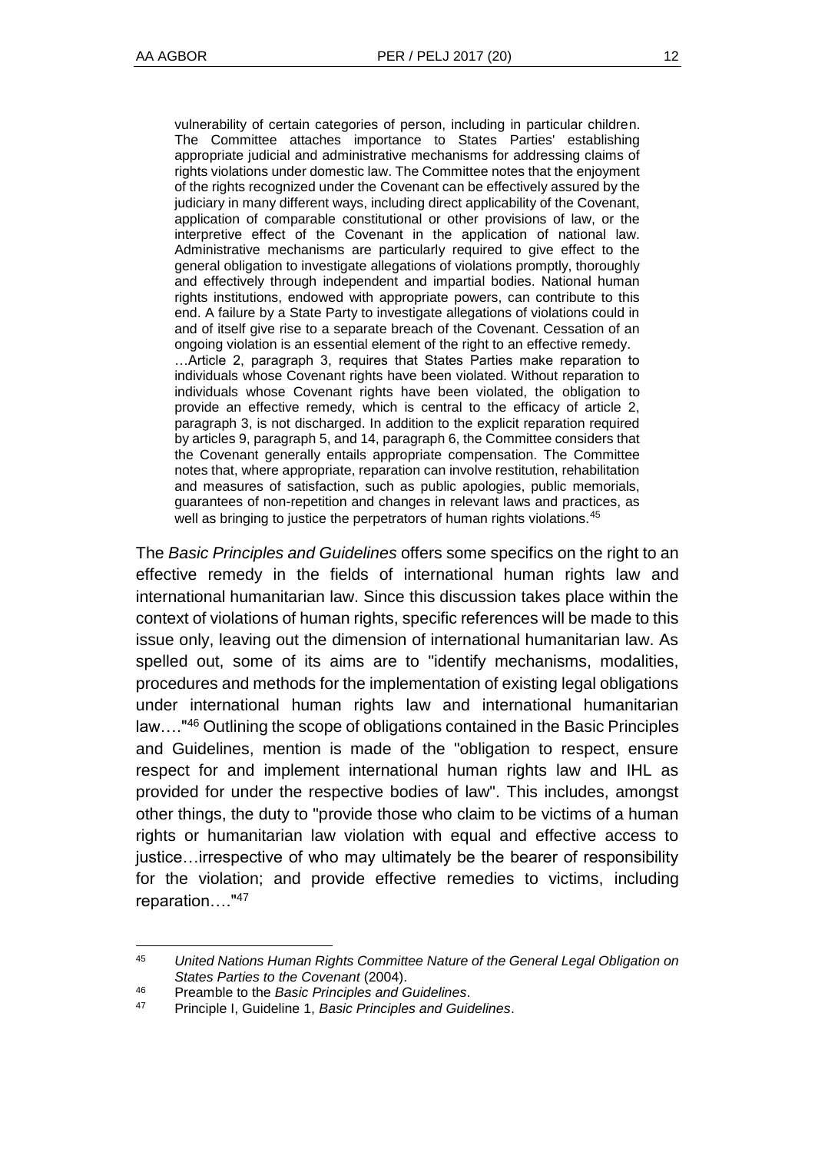vulnerability of certain categories of person, including in particular children. The Committee attaches importance to States Parties' establishing appropriate judicial and administrative mechanisms for addressing claims of rights violations under domestic law. The Committee notes that the enjoyment of the rights recognized under the Covenant can be effectively assured by the judiciary in many different ways, including direct applicability of the Covenant, application of comparable constitutional or other provisions of law, or the interpretive effect of the Covenant in the application of national law. Administrative mechanisms are particularly required to give effect to the general obligation to investigate allegations of violations promptly, thoroughly and effectively through independent and impartial bodies. National human rights institutions, endowed with appropriate powers, can contribute to this end. A failure by a State Party to investigate allegations of violations could in and of itself give rise to a separate breach of the Covenant. Cessation of an ongoing violation is an essential element of the right to an effective remedy. …Article 2, paragraph 3, requires that States Parties make reparation to individuals whose Covenant rights have been violated. Without reparation to individuals whose Covenant rights have been violated, the obligation to provide an effective remedy, which is central to the efficacy of article 2, paragraph 3, is not discharged. In addition to the explicit reparation required by articles 9, paragraph 5, and 14, paragraph 6, the Committee considers that the Covenant generally entails appropriate compensation. The Committee notes that, where appropriate, reparation can involve restitution, rehabilitation and measures of satisfaction, such as public apologies, public memorials, guarantees of non-repetition and changes in relevant laws and practices, as

well as bringing to justice the perpetrators of human rights violations.<sup>45</sup>

The *Basic Principles and Guidelines* offers some specifics on the right to an effective remedy in the fields of international human rights law and international humanitarian law. Since this discussion takes place within the context of violations of human rights, specific references will be made to this issue only, leaving out the dimension of international humanitarian law. As spelled out, some of its aims are to "identify mechanisms, modalities, procedures and methods for the implementation of existing legal obligations under international human rights law and international humanitarian law…."<sup>46</sup> Outlining the scope of obligations contained in the Basic Principles and Guidelines, mention is made of the "obligation to respect, ensure respect for and implement international human rights law and IHL as provided for under the respective bodies of law". This includes, amongst other things, the duty to "provide those who claim to be victims of a human rights or humanitarian law violation with equal and effective access to justice…irrespective of who may ultimately be the bearer of responsibility for the violation; and provide effective remedies to victims, including reparation…."<sup>47</sup>

<sup>45</sup> *United Nations Human Rights Committee Nature of the General Legal Obligation on States Parties to the Covenant* (2004).

<sup>46</sup> Preamble to the *Basic Principles and Guidelines*.

<sup>47</sup> Principle I, Guideline 1, *Basic Principles and Guidelines*.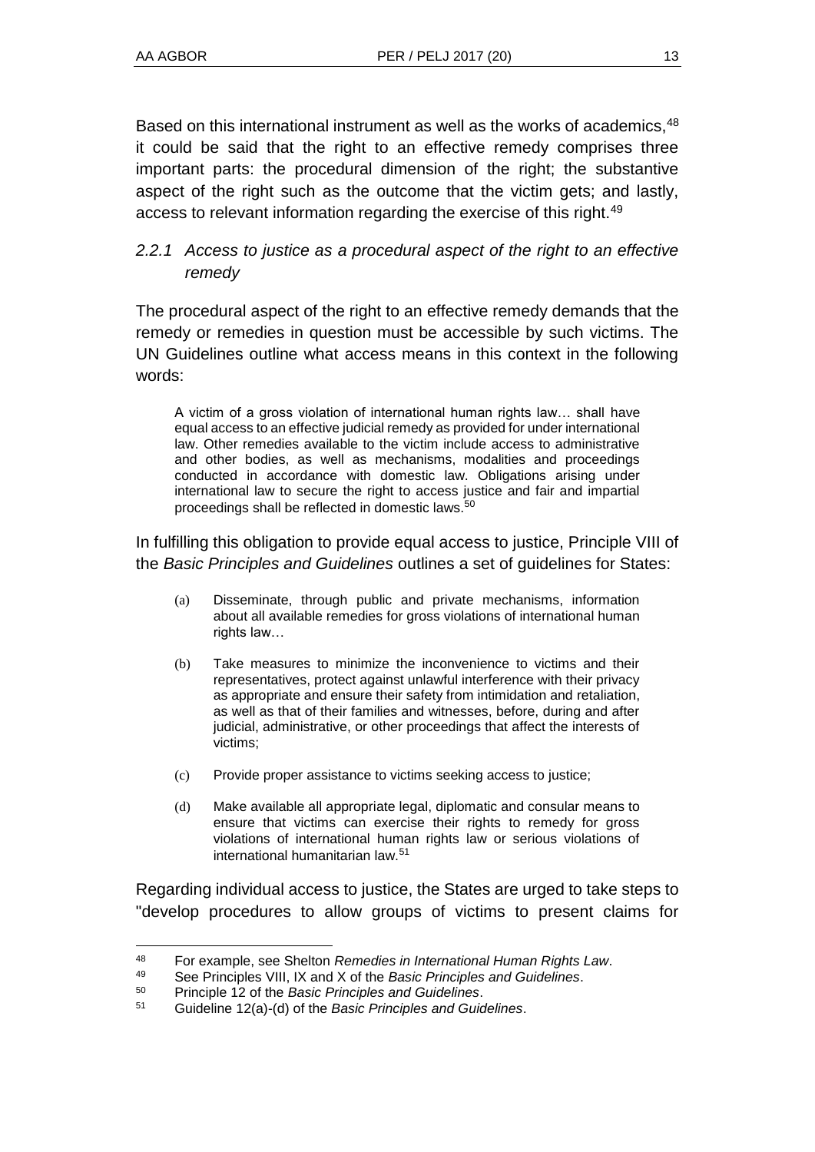Based on this international instrument as well as the works of academics, <sup>48</sup> it could be said that the right to an effective remedy comprises three important parts: the procedural dimension of the right; the substantive aspect of the right such as the outcome that the victim gets; and lastly, access to relevant information regarding the exercise of this right.<sup>49</sup>

## *2.2.1 Access to justice as a procedural aspect of the right to an effective remedy*

The procedural aspect of the right to an effective remedy demands that the remedy or remedies in question must be accessible by such victims. The UN Guidelines outline what access means in this context in the following words:

A victim of a gross violation of international human rights law… shall have equal access to an effective judicial remedy as provided for under international law. Other remedies available to the victim include access to administrative and other bodies, as well as mechanisms, modalities and proceedings conducted in accordance with domestic law. Obligations arising under international law to secure the right to access justice and fair and impartial proceedings shall be reflected in domestic laws.<sup>50</sup>

In fulfilling this obligation to provide equal access to justice, Principle VIII of the *Basic Principles and Guidelines* outlines a set of guidelines for States:

- (a) Disseminate, through public and private mechanisms, information about all available remedies for gross violations of international human rights law…
- (b) Take measures to minimize the inconvenience to victims and their representatives, protect against unlawful interference with their privacy as appropriate and ensure their safety from intimidation and retaliation, as well as that of their families and witnesses, before, during and after judicial, administrative, or other proceedings that affect the interests of victims;
- (c) Provide proper assistance to victims seeking access to justice;
- (d) Make available all appropriate legal, diplomatic and consular means to ensure that victims can exercise their rights to remedy for gross violations of international human rights law or serious violations of international humanitarian law.<sup>51</sup>

Regarding individual access to justice, the States are urged to take steps to "develop procedures to allow groups of victims to present claims for

l <sup>48</sup> For example, see Shelton *Remedies in International Human Rights Law*.

<sup>49</sup> See Principles VIII, IX and X of the *Basic Principles and Guidelines*.

<sup>50</sup> Principle 12 of the *Basic Principles and Guidelines*.

<sup>51</sup> Guideline 12(a)-(d) of the *Basic Principles and Guidelines*.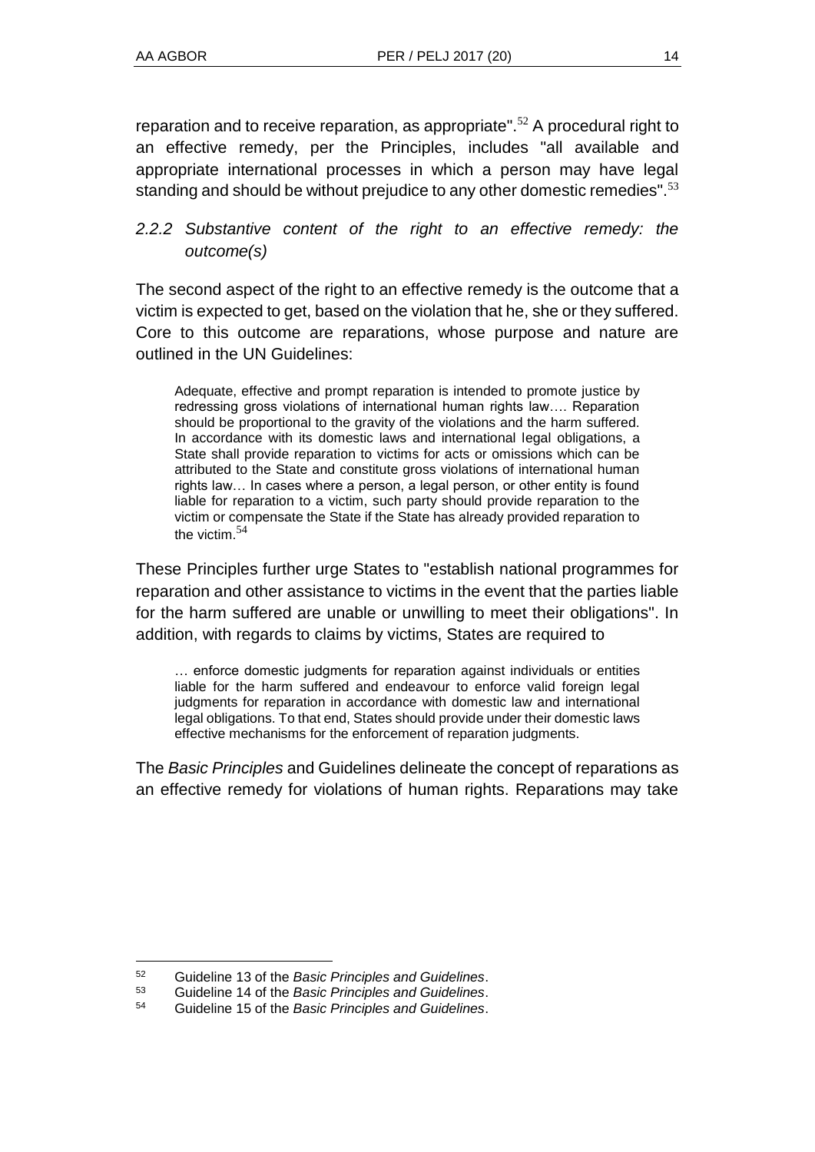reparation and to receive reparation, as appropriate".<sup>52</sup> A procedural right to an effective remedy, per the Principles, includes "all available and appropriate international processes in which a person may have legal standing and should be without prejudice to any other domestic remedies".<sup>53</sup>

## *2.2.2 Substantive content of the right to an effective remedy: the outcome(s)*

The second aspect of the right to an effective remedy is the outcome that a victim is expected to get, based on the violation that he, she or they suffered. Core to this outcome are reparations, whose purpose and nature are outlined in the UN Guidelines:

Adequate, effective and prompt reparation is intended to promote justice by redressing gross violations of international human rights law…. Reparation should be proportional to the gravity of the violations and the harm suffered. In accordance with its domestic laws and international legal obligations, a State shall provide reparation to victims for acts or omissions which can be attributed to the State and constitute gross violations of international human rights law… In cases where a person, a legal person, or other entity is found liable for reparation to a victim, such party should provide reparation to the victim or compensate the State if the State has already provided reparation to the victim.<sup>54</sup>

These Principles further urge States to "establish national programmes for reparation and other assistance to victims in the event that the parties liable for the harm suffered are unable or unwilling to meet their obligations". In addition, with regards to claims by victims, States are required to

… enforce domestic judgments for reparation against individuals or entities liable for the harm suffered and endeavour to enforce valid foreign legal judgments for reparation in accordance with domestic law and international legal obligations. To that end, States should provide under their domestic laws effective mechanisms for the enforcement of reparation judgments.

The *Basic Principles* and Guidelines delineate the concept of reparations as an effective remedy for violations of human rights. Reparations may take

 $\overline{a}$ 

<sup>52</sup> Guideline 13 of the *Basic Principles and Guidelines*.

<sup>53</sup> Guideline 14 of the *Basic Principles and Guidelines*.

<sup>54</sup> Guideline 15 of the *Basic Principles and Guidelines*.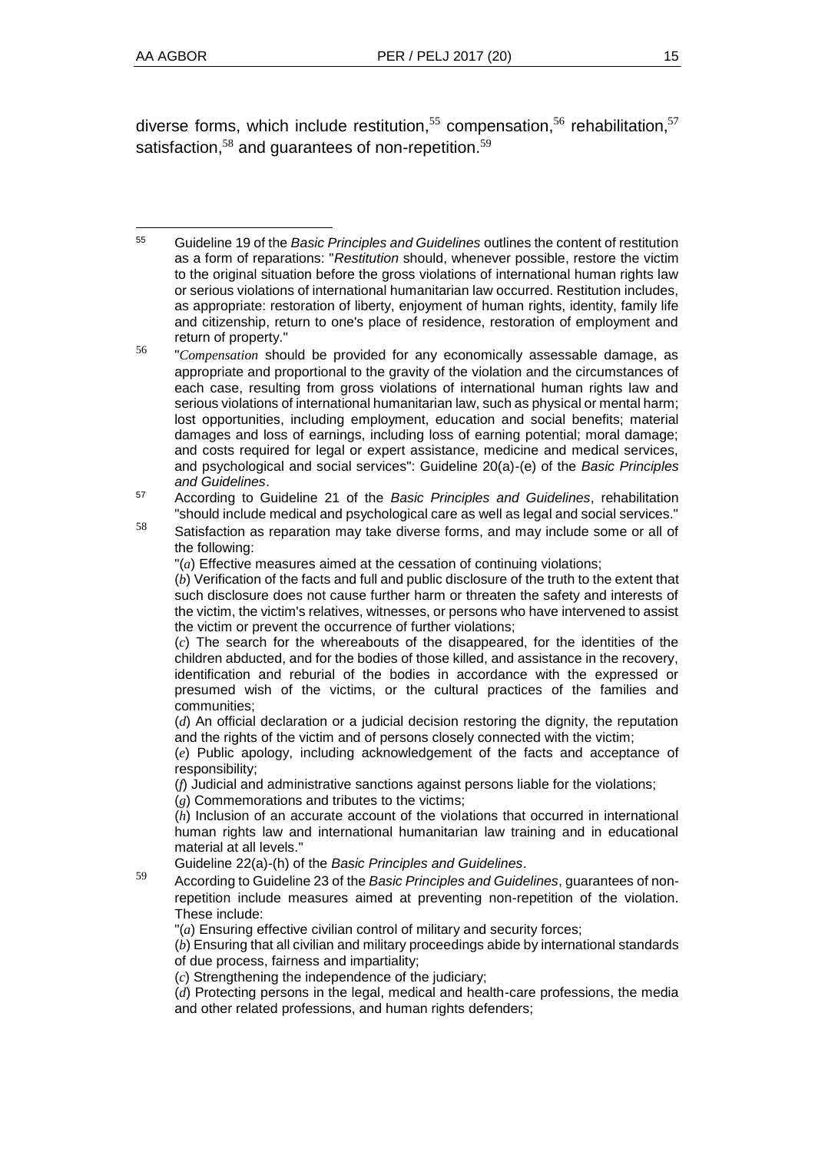diverse forms, which include restitution,<sup>55</sup> compensation,<sup>56</sup> rehabilitation,<sup>57</sup> satisfaction,<sup>58</sup> and quarantees of non-repetition.<sup>59</sup>

<sup>57</sup> According to Guideline 21 of the *Basic Principles and Guidelines*, rehabilitation "should include medical and psychological care as well as legal and social services."

- <sup>58</sup> Satisfaction as reparation may take diverse forms, and may include some or all of the following:
	- "(*a*) Effective measures aimed at the cessation of continuing violations;

(*b*) Verification of the facts and full and public disclosure of the truth to the extent that such disclosure does not cause further harm or threaten the safety and interests of the victim, the victim's relatives, witnesses, or persons who have intervened to assist the victim or prevent the occurrence of further violations;

(*c*) The search for the whereabouts of the disappeared, for the identities of the children abducted, and for the bodies of those killed, and assistance in the recovery, identification and reburial of the bodies in accordance with the expressed or presumed wish of the victims, or the cultural practices of the families and communities;

(*d*) An official declaration or a judicial decision restoring the dignity, the reputation and the rights of the victim and of persons closely connected with the victim;

(*e*) Public apology, including acknowledgement of the facts and acceptance of responsibility;

(*f*) Judicial and administrative sanctions against persons liable for the violations;

(*g*) Commemorations and tributes to the victims;

(*h*) Inclusion of an accurate account of the violations that occurred in international human rights law and international humanitarian law training and in educational material at all levels."

Guideline 22(a)-(h) of the *Basic Principles and Guidelines*.

<sup>59</sup> According to Guideline 23 of the *Basic Principles and Guidelines*, guarantees of nonrepetition include measures aimed at preventing non-repetition of the violation. These include:

"(*a*) Ensuring effective civilian control of military and security forces;

(*b*) Ensuring that all civilian and military proceedings abide by international standards of due process, fairness and impartiality;

(*c*) Strengthening the independence of the judiciary;

(*d*) Protecting persons in the legal, medical and health-care professions, the media and other related professions, and human rights defenders;

l <sup>55</sup> Guideline 19 of the *Basic Principles and Guidelines* outlines the content of restitution as a form of reparations: "*Restitution* should, whenever possible, restore the victim to the original situation before the gross violations of international human rights law or serious violations of international humanitarian law occurred. Restitution includes, as appropriate: restoration of liberty, enjoyment of human rights, identity, family life and citizenship, return to one's place of residence, restoration of employment and return of property."

<sup>56</sup> "*Compensation* should be provided for any economically assessable damage, as appropriate and proportional to the gravity of the violation and the circumstances of each case, resulting from gross violations of international human rights law and serious violations of international humanitarian law, such as physical or mental harm; lost opportunities, including employment, education and social benefits; material damages and loss of earnings, including loss of earning potential; moral damage; and costs required for legal or expert assistance, medicine and medical services, and psychological and social services": Guideline 20(a)-(e) of the *Basic Principles and Guidelines*.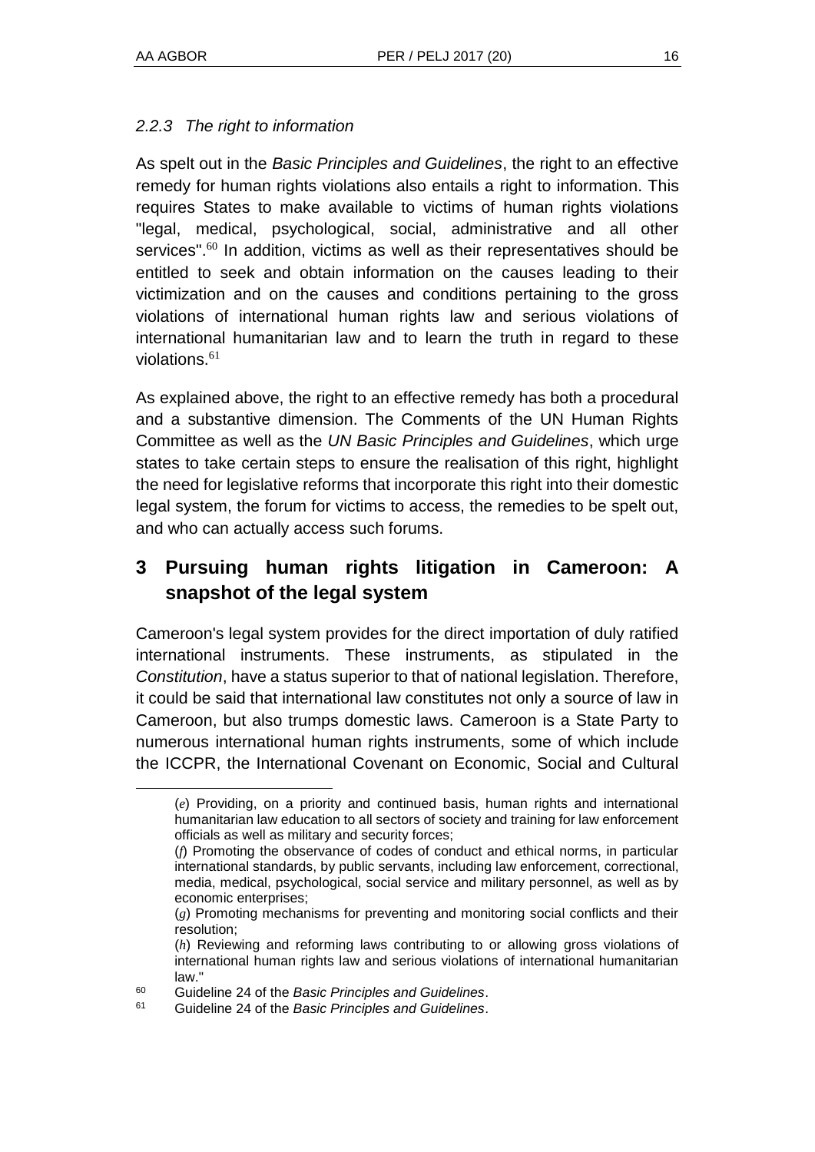l

## *2.2.3 The right to information*

As spelt out in the *Basic Principles and Guidelines*, the right to an effective remedy for human rights violations also entails a right to information. This requires States to make available to victims of human rights violations "legal, medical, psychological, social, administrative and all other services".<sup>60</sup> In addition, victims as well as their representatives should be entitled to seek and obtain information on the causes leading to their victimization and on the causes and conditions pertaining to the gross violations of international human rights law and serious violations of international humanitarian law and to learn the truth in regard to these violations. $61$ 

As explained above, the right to an effective remedy has both a procedural and a substantive dimension. The Comments of the UN Human Rights Committee as well as the *UN Basic Principles and Guidelines*, which urge states to take certain steps to ensure the realisation of this right, highlight the need for legislative reforms that incorporate this right into their domestic legal system, the forum for victims to access, the remedies to be spelt out, and who can actually access such forums.

# **3 Pursuing human rights litigation in Cameroon: A snapshot of the legal system**

Cameroon's legal system provides for the direct importation of duly ratified international instruments. These instruments, as stipulated in the *Constitution*, have a status superior to that of national legislation. Therefore, it could be said that international law constitutes not only a source of law in Cameroon, but also trumps domestic laws. Cameroon is a State Party to numerous international human rights instruments, some of which include the ICCPR, the International Covenant on Economic, Social and Cultural

<sup>(</sup>*e*) Providing, on a priority and continued basis, human rights and international humanitarian law education to all sectors of society and training for law enforcement officials as well as military and security forces;

<sup>(</sup>*f*) Promoting the observance of codes of conduct and ethical norms, in particular international standards, by public servants, including law enforcement, correctional, media, medical, psychological, social service and military personnel, as well as by economic enterprises;

<sup>(</sup>*g*) Promoting mechanisms for preventing and monitoring social conflicts and their resolution;

<sup>(</sup>*h*) Reviewing and reforming laws contributing to or allowing gross violations of international human rights law and serious violations of international humanitarian law."

<sup>60</sup> Guideline 24 of the *Basic Principles and Guidelines*.

<sup>61</sup> Guideline 24 of the *Basic Principles and Guidelines*.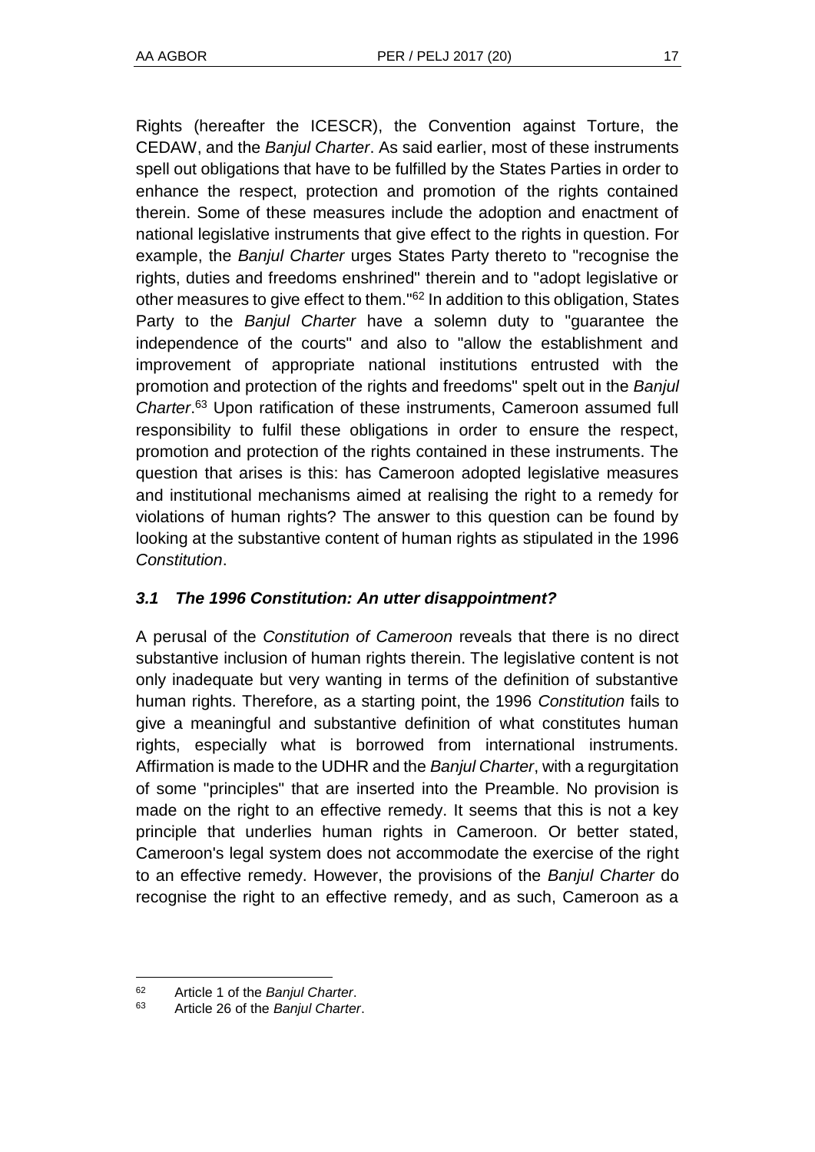Rights (hereafter the ICESCR), the Convention against Torture, the CEDAW, and the *Banjul Charter*. As said earlier, most of these instruments spell out obligations that have to be fulfilled by the States Parties in order to enhance the respect, protection and promotion of the rights contained therein. Some of these measures include the adoption and enactment of national legislative instruments that give effect to the rights in question. For example, the *Banjul Charter* urges States Party thereto to "recognise the rights, duties and freedoms enshrined" therein and to "adopt legislative or other measures to give effect to them."<sup>62</sup> In addition to this obligation, States Party to the *Banjul Charter* have a solemn duty to "guarantee the independence of the courts" and also to "allow the establishment and improvement of appropriate national institutions entrusted with the promotion and protection of the rights and freedoms" spelt out in the *Banjul Charter*. <sup>63</sup> Upon ratification of these instruments, Cameroon assumed full responsibility to fulfil these obligations in order to ensure the respect, promotion and protection of the rights contained in these instruments. The question that arises is this: has Cameroon adopted legislative measures and institutional mechanisms aimed at realising the right to a remedy for violations of human rights? The answer to this question can be found by looking at the substantive content of human rights as stipulated in the 1996 *Constitution*.

## *3.1 The 1996 Constitution: An utter disappointment?*

A perusal of the *Constitution of Cameroon* reveals that there is no direct substantive inclusion of human rights therein. The legislative content is not only inadequate but very wanting in terms of the definition of substantive human rights. Therefore, as a starting point, the 1996 *Constitution* fails to give a meaningful and substantive definition of what constitutes human rights, especially what is borrowed from international instruments. Affirmation is made to the UDHR and the *Banjul Charter*, with a regurgitation of some "principles" that are inserted into the Preamble. No provision is made on the right to an effective remedy. It seems that this is not a key principle that underlies human rights in Cameroon. Or better stated, Cameroon's legal system does not accommodate the exercise of the right to an effective remedy. However, the provisions of the *Banjul Charter* do recognise the right to an effective remedy, and as such, Cameroon as a

<sup>62</sup> Article 1 of the *Banjul Charter*.

<sup>63</sup> Article 26 of the *Banjul Charter*.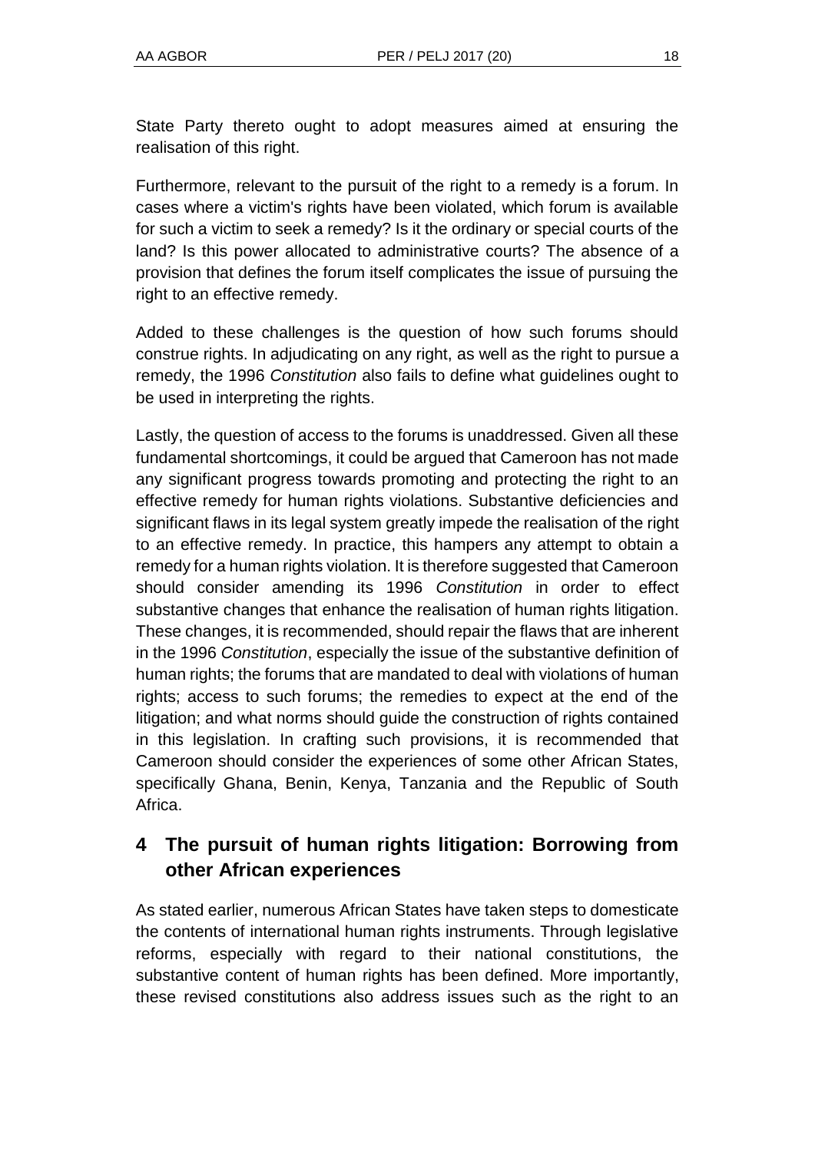State Party thereto ought to adopt measures aimed at ensuring the realisation of this right.

Furthermore, relevant to the pursuit of the right to a remedy is a forum. In cases where a victim's rights have been violated, which forum is available for such a victim to seek a remedy? Is it the ordinary or special courts of the land? Is this power allocated to administrative courts? The absence of a provision that defines the forum itself complicates the issue of pursuing the right to an effective remedy.

Added to these challenges is the question of how such forums should construe rights. In adjudicating on any right, as well as the right to pursue a remedy, the 1996 *Constitution* also fails to define what guidelines ought to be used in interpreting the rights.

Lastly, the question of access to the forums is unaddressed. Given all these fundamental shortcomings, it could be argued that Cameroon has not made any significant progress towards promoting and protecting the right to an effective remedy for human rights violations. Substantive deficiencies and significant flaws in its legal system greatly impede the realisation of the right to an effective remedy. In practice, this hampers any attempt to obtain a remedy for a human rights violation. It is therefore suggested that Cameroon should consider amending its 1996 *Constitution* in order to effect substantive changes that enhance the realisation of human rights litigation. These changes, it is recommended, should repair the flaws that are inherent in the 1996 *Constitution*, especially the issue of the substantive definition of human rights; the forums that are mandated to deal with violations of human rights; access to such forums; the remedies to expect at the end of the litigation; and what norms should guide the construction of rights contained in this legislation. In crafting such provisions, it is recommended that Cameroon should consider the experiences of some other African States, specifically Ghana, Benin, Kenya, Tanzania and the Republic of South Africa.

# **4 The pursuit of human rights litigation: Borrowing from other African experiences**

As stated earlier, numerous African States have taken steps to domesticate the contents of international human rights instruments. Through legislative reforms, especially with regard to their national constitutions, the substantive content of human rights has been defined. More importantly, these revised constitutions also address issues such as the right to an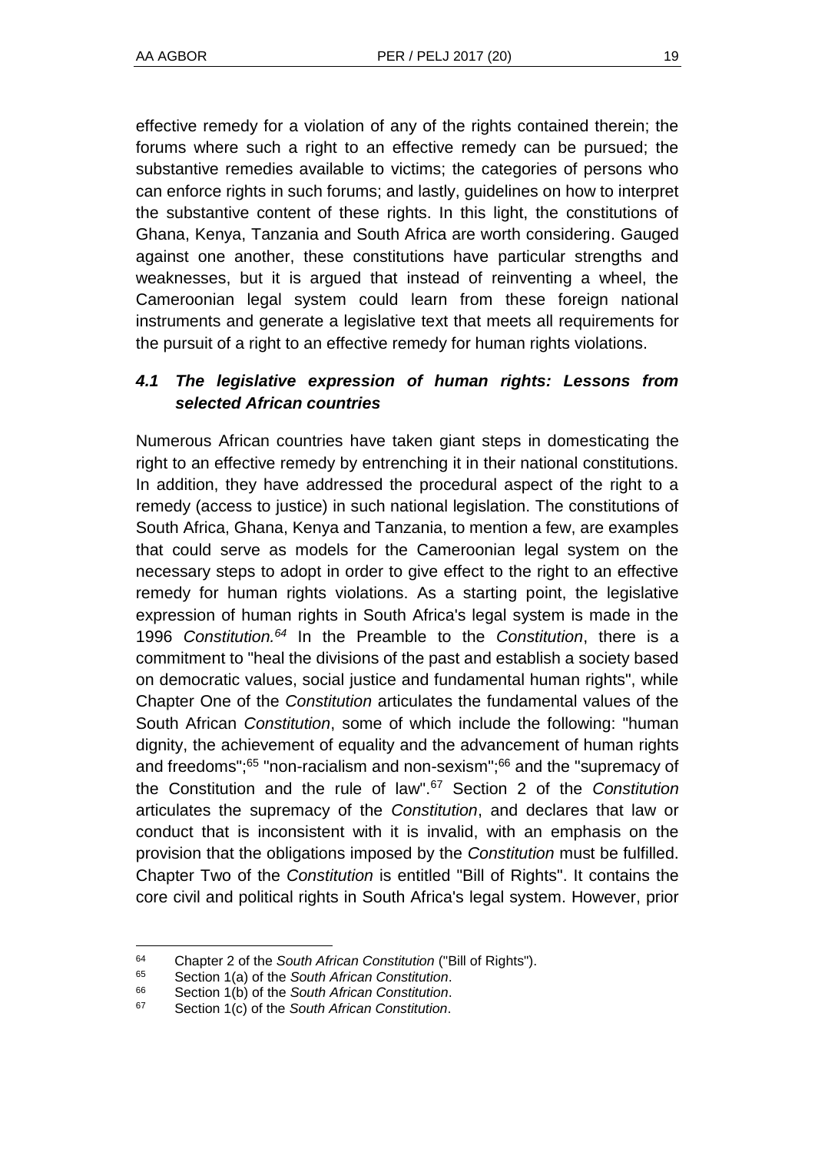effective remedy for a violation of any of the rights contained therein; the forums where such a right to an effective remedy can be pursued; the substantive remedies available to victims; the categories of persons who can enforce rights in such forums; and lastly, guidelines on how to interpret the substantive content of these rights. In this light, the constitutions of Ghana, Kenya, Tanzania and South Africa are worth considering. Gauged against one another, these constitutions have particular strengths and weaknesses, but it is argued that instead of reinventing a wheel, the Cameroonian legal system could learn from these foreign national instruments and generate a legislative text that meets all requirements for the pursuit of a right to an effective remedy for human rights violations.

## *4.1 The legislative expression of human rights: Lessons from selected African countries*

Numerous African countries have taken giant steps in domesticating the right to an effective remedy by entrenching it in their national constitutions. In addition, they have addressed the procedural aspect of the right to a remedy (access to justice) in such national legislation. The constitutions of South Africa, Ghana, Kenya and Tanzania, to mention a few, are examples that could serve as models for the Cameroonian legal system on the necessary steps to adopt in order to give effect to the right to an effective remedy for human rights violations. As a starting point, the legislative expression of human rights in South Africa's legal system is made in the 1996 *Constitution.<sup>64</sup>* In the Preamble to the *Constitution*, there is a commitment to "heal the divisions of the past and establish a society based on democratic values, social justice and fundamental human rights", while Chapter One of the *Constitution* articulates the fundamental values of the South African *Constitution*, some of which include the following: "human dignity, the achievement of equality and the advancement of human rights and freedoms";<sup>65</sup> "non-racialism and non-sexism";<sup>66</sup> and the "supremacy of the Constitution and the rule of law".<sup>67</sup> Section 2 of the *Constitution* articulates the supremacy of the *Constitution*, and declares that law or conduct that is inconsistent with it is invalid, with an emphasis on the provision that the obligations imposed by the *Constitution* must be fulfilled. Chapter Two of the *Constitution* is entitled "Bill of Rights". It contains the core civil and political rights in South Africa's legal system. However, prior

l <sup>64</sup> Chapter 2 of the *South African Constitution* ("Bill of Rights").

<sup>65</sup> Section 1(a) of the *South African Constitution*.

<sup>66</sup> Section 1(b) of the *South African Constitution*.

<sup>67</sup> Section 1(c) of the *South African Constitution*.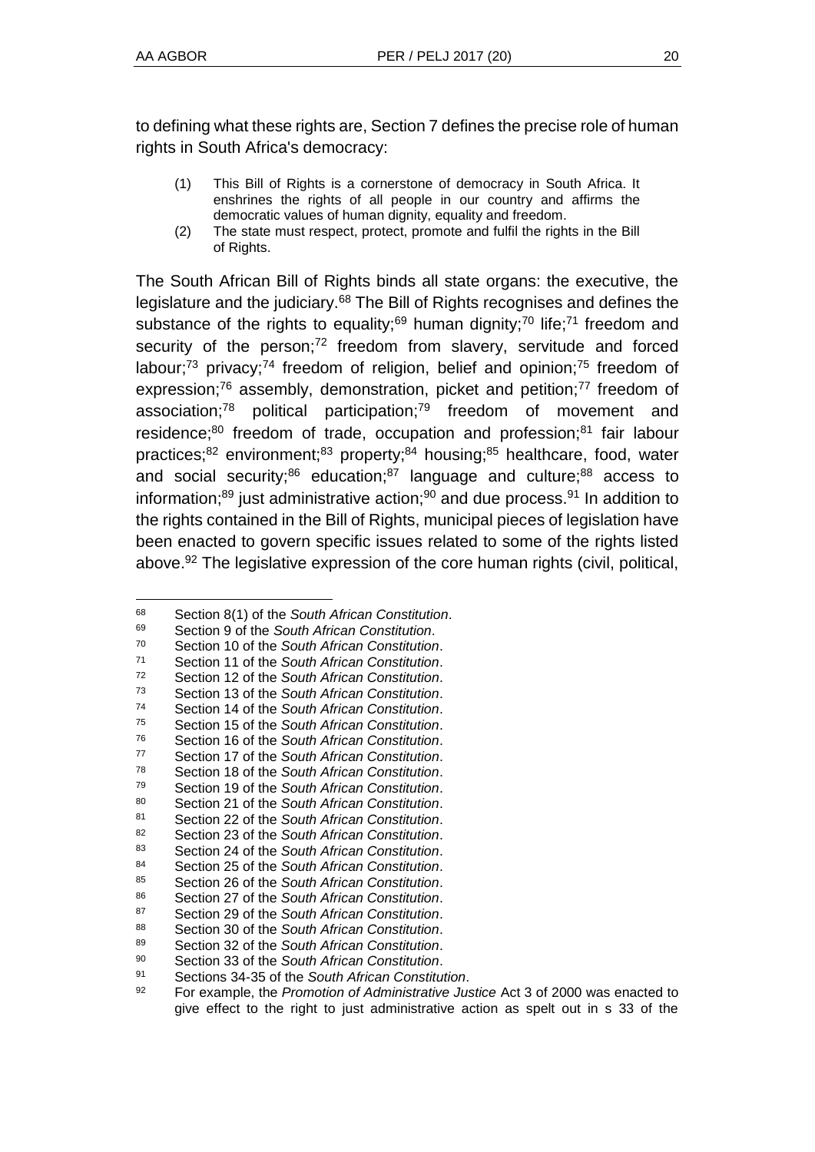l

to defining what these rights are, Section 7 defines the precise role of human rights in South Africa's democracy:

- (1) This Bill of Rights is a cornerstone of democracy in South Africa. It enshrines the rights of all people in our country and affirms the democratic values of human dignity, equality and freedom.
- (2) The state must respect, protect, promote and fulfil the rights in the Bill of Rights.

The South African Bill of Rights binds all state organs: the executive, the legislature and the judiciary.<sup>68</sup> The Bill of Rights recognises and defines the substance of the rights to equality;<sup>69</sup> human dignity;<sup>70</sup> life;<sup>71</sup> freedom and security of the person;<sup>72</sup> freedom from slavery, servitude and forced labour;<sup>73</sup> privacy;<sup>74</sup> freedom of religion, belief and opinion;<sup>75</sup> freedom of expression;<sup>76</sup> assembly, demonstration, picket and petition;<sup>77</sup> freedom of association;<sup>78</sup> political participation;<sup>79</sup> freedom of movement and residence;<sup>80</sup> freedom of trade, occupation and profession;<sup>81</sup> fair labour practices;<sup>82</sup> environment;<sup>83</sup> property;<sup>84</sup> housing;<sup>85</sup> healthcare, food, water and social security;<sup>86</sup> education;<sup>87</sup> language and culture;<sup>88</sup> access to information; $89$  just administrative action; $90$  and due process. $91$  In addition to the rights contained in the Bill of Rights, municipal pieces of legislation have been enacted to govern specific issues related to some of the rights listed above.<sup>92</sup> The legislative expression of the core human rights (civil, political,

<sup>68</sup> Section 8(1) of the *South African Constitution*.

<sup>69</sup> Section 9 of the *South African Constitution*.

<sup>70</sup> Section 10 of the *South African Constitution*.

<sup>71</sup> Section 11 of the *South African Constitution*.

<sup>72</sup> Section 12 of the *South African Constitution*.

<sup>73</sup> Section 13 of the *South African Constitution*.

Section 14 of the *South African Constitution*. <sup>75</sup> Section 15 of the *South African Constitution*.

<sup>76</sup> Section 16 of the *South African Constitution*.

<sup>77</sup> Section 17 of the *South African Constitution*.

<sup>78</sup> Section 18 of the *South African Constitution*.

<sup>79</sup> Section 19 of the *South African Constitution*. <sup>80</sup> Section 21 of the *South African Constitution*.

<sup>81</sup> Section 22 of the *South African Constitution*.

<sup>82</sup> Section 23 of the *South African Constitution*.

<sup>83</sup> Section 24 of the *South African Constitution*.

<sup>84</sup> Section 25 of the *South African Constitution*.

<sup>85</sup> Section 26 of the *South African Constitution*.

<sup>86</sup> Section 27 of the *South African Constitution*.

<sup>87</sup> Section 29 of the *South African Constitution*.

<sup>88</sup> Section 30 of the *South African Constitution*.

<sup>89</sup> Section 32 of the *South African Constitution*.

<sup>90</sup> Section 33 of the *South African Constitution*.

<sup>91</sup> Sections 34-35 of the *South African Constitution*.

<sup>92</sup> For example, the *Promotion of Administrative Justice* Act 3 of 2000 was enacted to give effect to the right to just administrative action as spelt out in s 33 of the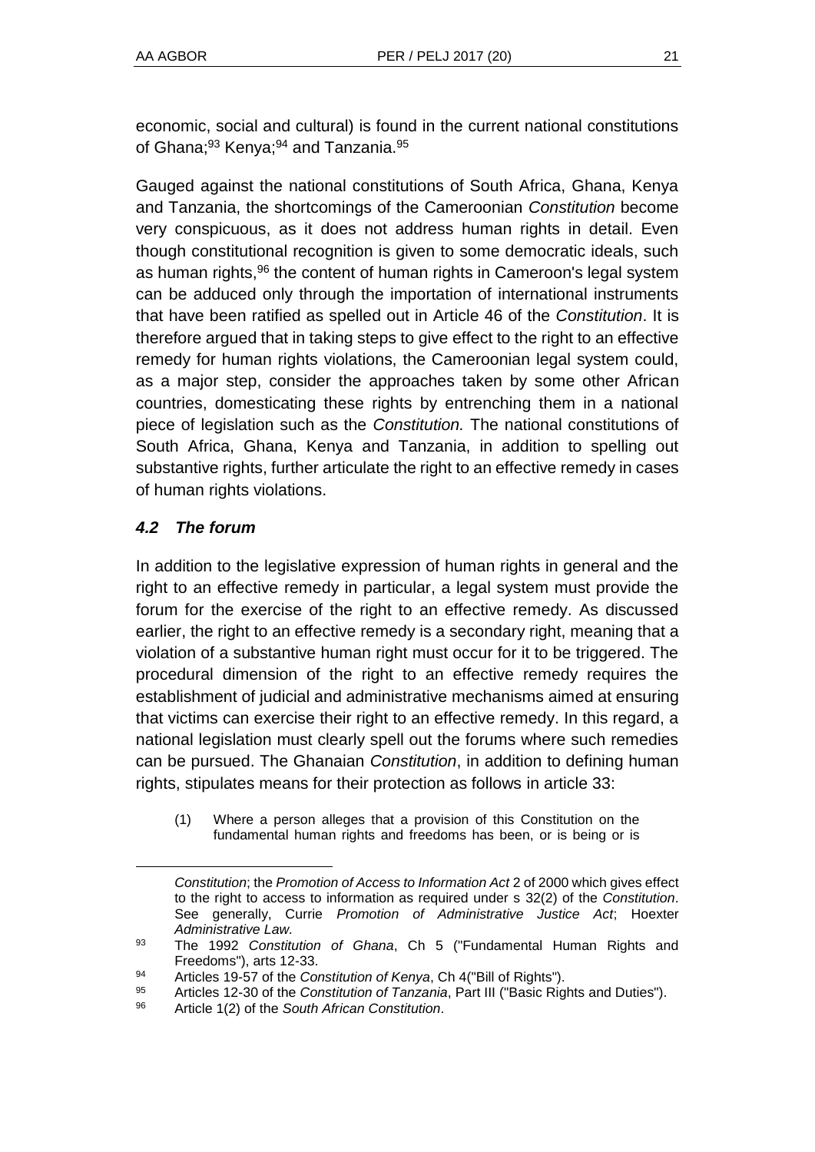economic, social and cultural) is found in the current national constitutions of Ghana;<sup>93</sup> Kenya;<sup>94</sup> and Tanzania.<sup>95</sup>

Gauged against the national constitutions of South Africa, Ghana, Kenya and Tanzania, the shortcomings of the Cameroonian *Constitution* become very conspicuous, as it does not address human rights in detail. Even though constitutional recognition is given to some democratic ideals, such as human rights,<sup>96</sup> the content of human rights in Cameroon's legal system can be adduced only through the importation of international instruments that have been ratified as spelled out in Article 46 of the *Constitution*. It is therefore argued that in taking steps to give effect to the right to an effective remedy for human rights violations, the Cameroonian legal system could, as a major step, consider the approaches taken by some other African countries, domesticating these rights by entrenching them in a national piece of legislation such as the *Constitution.* The national constitutions of South Africa, Ghana, Kenya and Tanzania, in addition to spelling out substantive rights, further articulate the right to an effective remedy in cases of human rights violations.

## *4.2 The forum*

l

In addition to the legislative expression of human rights in general and the right to an effective remedy in particular, a legal system must provide the forum for the exercise of the right to an effective remedy. As discussed earlier, the right to an effective remedy is a secondary right, meaning that a violation of a substantive human right must occur for it to be triggered. The procedural dimension of the right to an effective remedy requires the establishment of judicial and administrative mechanisms aimed at ensuring that victims can exercise their right to an effective remedy. In this regard, a national legislation must clearly spell out the forums where such remedies can be pursued. The Ghanaian *Constitution*, in addition to defining human rights, stipulates means for their protection as follows in article 33:

(1) Where a person alleges that a provision of this Constitution on the fundamental human rights and freedoms has been, or is being or is

*Constitution*; the *Promotion of Access to Information Act* 2 of 2000 which gives effect to the right to access to information as required under s 32(2) of the *Constitution*. See generally, Currie *Promotion of Administrative Justice Act*; Hoexter *Administrative Law.*

<sup>93</sup> The 1992 *Constitution of Ghana*, Ch 5 ("Fundamental Human Rights and Freedoms"), arts 12-33.

<sup>94</sup> Articles 19-57 of the *Constitution of Kenya*, Ch 4("Bill of Rights").

<sup>95</sup> Articles 12-30 of the *Constitution of Tanzania*, Part III ("Basic Rights and Duties").

<sup>96</sup> Article 1(2) of the *South African Constitution*.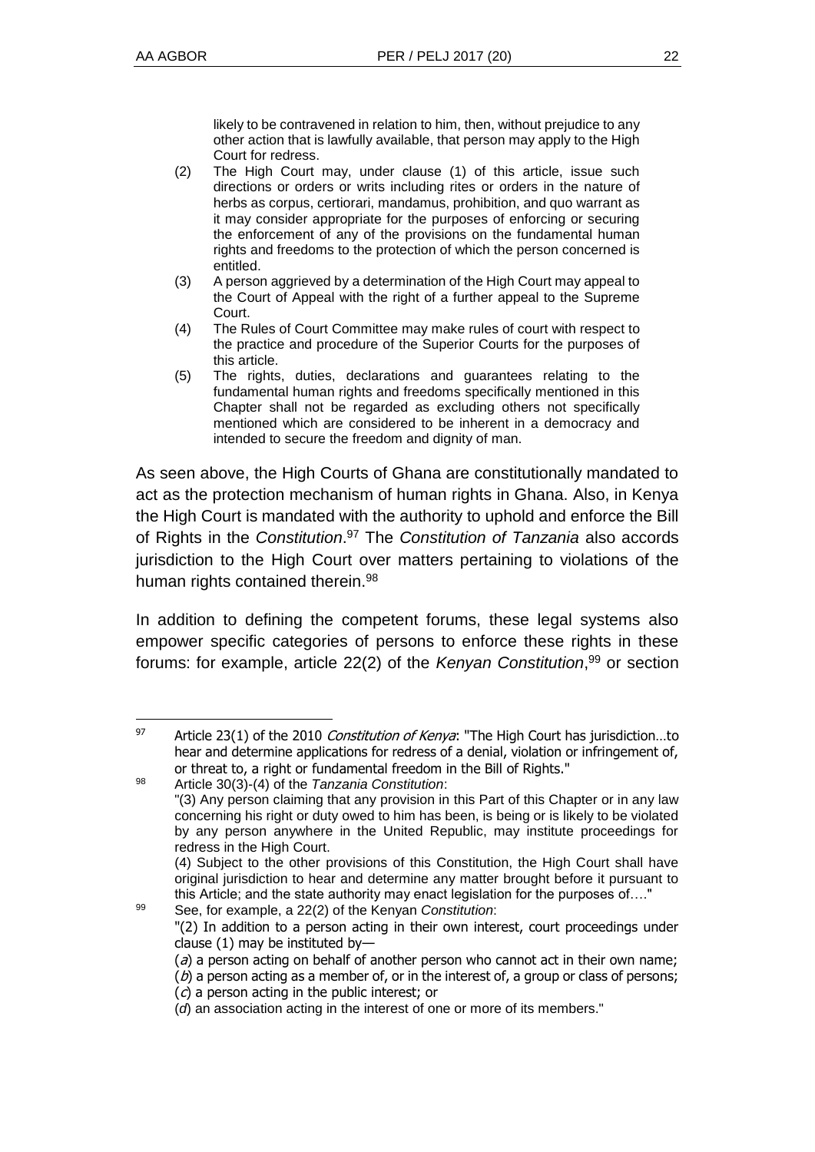l

likely to be contravened in relation to him, then, without prejudice to any other action that is lawfully available, that person may apply to the High Court for redress.

- (2) The High Court may, under clause (1) of this article, issue such directions or orders or writs including rites or orders in the nature of herbs as corpus, certiorari, mandamus, prohibition, and quo warrant as it may consider appropriate for the purposes of enforcing or securing the enforcement of any of the provisions on the fundamental human rights and freedoms to the protection of which the person concerned is entitled.
- (3) A person aggrieved by a determination of the High Court may appeal to the Court of Appeal with the right of a further appeal to the Supreme Court.
- (4) The Rules of Court Committee may make rules of court with respect to the practice and procedure of the Superior Courts for the purposes of this article.
- (5) The rights, duties, declarations and guarantees relating to the fundamental human rights and freedoms specifically mentioned in this Chapter shall not be regarded as excluding others not specifically mentioned which are considered to be inherent in a democracy and intended to secure the freedom and dignity of man.

As seen above, the High Courts of Ghana are constitutionally mandated to act as the protection mechanism of human rights in Ghana. Also, in Kenya the High Court is mandated with the authority to uphold and enforce the Bill of Rights in the *Constitution*. <sup>97</sup> The *Constitution of Tanzania* also accords jurisdiction to the High Court over matters pertaining to violations of the human rights contained therein.<sup>98</sup>

In addition to defining the competent forums, these legal systems also empower specific categories of persons to enforce these rights in these forums: for example, article 22(2) of the *Kenyan Constitution*, <sup>99</sup> or section

<sup>99</sup> See, for example, a 22(2) of the Kenyan *Constitution*: "(2) In addition to a person acting in their own interest, court proceedings under clause (1) may be instituted by—  $(a)$  a person acting on behalf of another person who cannot act in their own name;

<sup>97</sup> Article 23(1) of the 2010 Constitution of Kenya: "The High Court has jurisdiction...to hear and determine applications for redress of a denial, violation or infringement of, or threat to, a right or fundamental freedom in the Bill of Rights."

<sup>98</sup> Article 30(3)-(4) of the *Tanzania Constitution*:

<sup>&</sup>quot;(3) Any person claiming that any provision in this Part of this Chapter or in any law concerning his right or duty owed to him has been, is being or is likely to be violated by any person anywhere in the United Republic, may institute proceedings for redress in the High Court.

<sup>(4)</sup> Subject to the other provisions of this Constitution, the High Court shall have original jurisdiction to hear and determine any matter brought before it pursuant to this Article; and the state authority may enact legislation for the purposes of…."

 $(b)$  a person acting as a member of, or in the interest of, a group or class of persons;

<sup>(</sup>c) a person acting in the public interest; or

<sup>(</sup>*d*) an association acting in the interest of one or more of its members."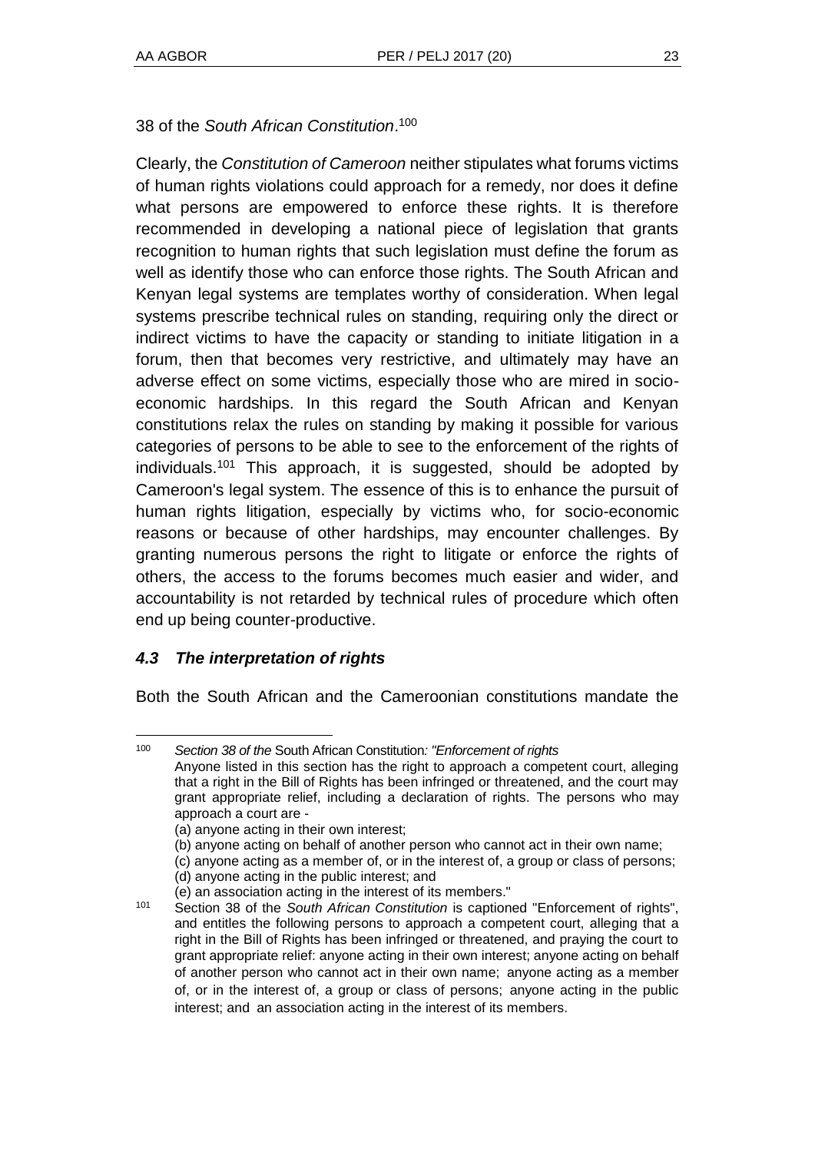Clearly, the *Constitution of Cameroon* neither stipulates what forums victims of human rights violations could approach for a remedy, nor does it define what persons are empowered to enforce these rights. It is therefore recommended in developing a national piece of legislation that grants recognition to human rights that such legislation must define the forum as well as identify those who can enforce those rights. The South African and Kenyan legal systems are templates worthy of consideration. When legal systems prescribe technical rules on standing, requiring only the direct or indirect victims to have the capacity or standing to initiate litigation in a forum, then that becomes very restrictive, and ultimately may have an adverse effect on some victims, especially those who are mired in socioeconomic hardships. In this regard the South African and Kenyan constitutions relax the rules on standing by making it possible for various categories of persons to be able to see to the enforcement of the rights of individuals.<sup>101</sup> This approach, it is suggested, should be adopted by Cameroon's legal system. The essence of this is to enhance the pursuit of human rights litigation, especially by victims who, for socio-economic reasons or because of other hardships, may encounter challenges. By granting numerous persons the right to litigate or enforce the rights of others, the access to the forums becomes much easier and wider, and accountability is not retarded by technical rules of procedure which often end up being counter-productive.

## *4.3 The interpretation of rights*

Both the South African and the Cameroonian constitutions mandate the

l <sup>100</sup> *Section 38 of the* South African Constitution*: "Enforcement of rights* Anyone listed in this section has the right to approach a competent court, alleging that a right in the Bill of Rights has been infringed or threatened, and the court may grant appropriate relief, including a declaration of rights. The persons who may approach a court are - (a) anyone acting in their own interest;

<sup>(</sup>b) anyone acting on behalf of another person who cannot act in their own name;

<sup>(</sup>c) anyone acting as a member of, or in the interest of, a group or class of persons;

<sup>(</sup>d) anyone acting in the public interest; and

<sup>(</sup>e) an association acting in the interest of its members."

<sup>101</sup> Section 38 of the *South African Constitution* is captioned "Enforcement of rights", and entitles the following persons to approach a competent court, alleging that a right in the Bill of Rights has been infringed or threatened, and praying the court to grant appropriate relief: anyone acting in their own interest; anyone acting on behalf of another person who cannot act in their own name; anyone acting as a member of, or in the interest of, a group or class of persons; anyone acting in the public interest; and an association acting in the interest of its members.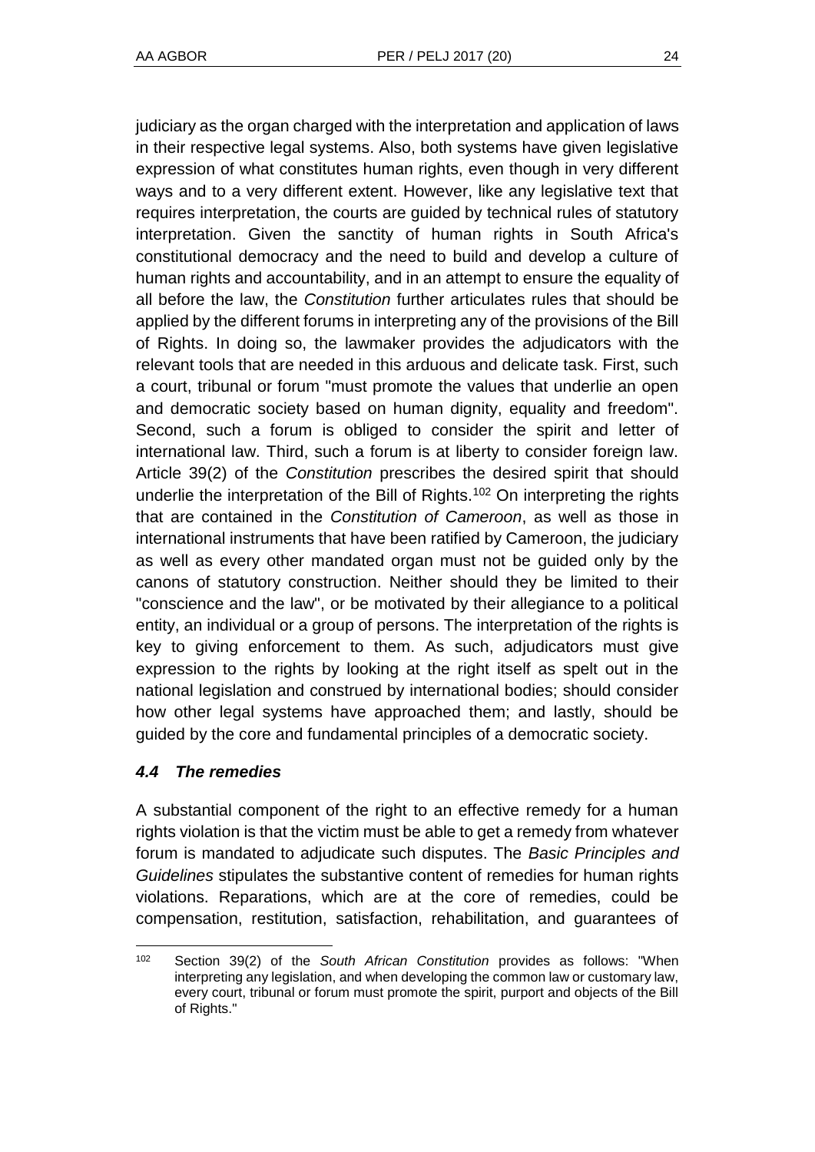judiciary as the organ charged with the interpretation and application of laws in their respective legal systems. Also, both systems have given legislative expression of what constitutes human rights, even though in very different ways and to a very different extent. However, like any legislative text that requires interpretation, the courts are guided by technical rules of statutory interpretation. Given the sanctity of human rights in South Africa's constitutional democracy and the need to build and develop a culture of human rights and accountability, and in an attempt to ensure the equality of all before the law, the *Constitution* further articulates rules that should be applied by the different forums in interpreting any of the provisions of the Bill of Rights. In doing so, the lawmaker provides the adjudicators with the relevant tools that are needed in this arduous and delicate task. First, such a court, tribunal or forum "must promote the values that underlie an open and democratic society based on human dignity, equality and freedom". Second, such a forum is obliged to consider the spirit and letter of international law. Third, such a forum is at liberty to consider foreign law. Article 39(2) of the *Constitution* prescribes the desired spirit that should underlie the interpretation of the Bill of Rights.<sup>102</sup> On interpreting the rights that are contained in the *Constitution of Cameroon*, as well as those in international instruments that have been ratified by Cameroon, the judiciary as well as every other mandated organ must not be guided only by the canons of statutory construction. Neither should they be limited to their "conscience and the law", or be motivated by their allegiance to a political entity, an individual or a group of persons. The interpretation of the rights is key to giving enforcement to them. As such, adjudicators must give expression to the rights by looking at the right itself as spelt out in the national legislation and construed by international bodies; should consider how other legal systems have approached them; and lastly, should be guided by the core and fundamental principles of a democratic society.

## *4.4 The remedies*

A substantial component of the right to an effective remedy for a human rights violation is that the victim must be able to get a remedy from whatever forum is mandated to adjudicate such disputes. The *Basic Principles and Guidelines* stipulates the substantive content of remedies for human rights violations. Reparations, which are at the core of remedies, could be compensation, restitution, satisfaction, rehabilitation, and guarantees of

 $102$ Section 39(2) of the *South African Constitution* provides as follows: "When interpreting any legislation, and when developing the common law or customary law, every court, tribunal or forum must promote the spirit, purport and objects of the Bill of Rights."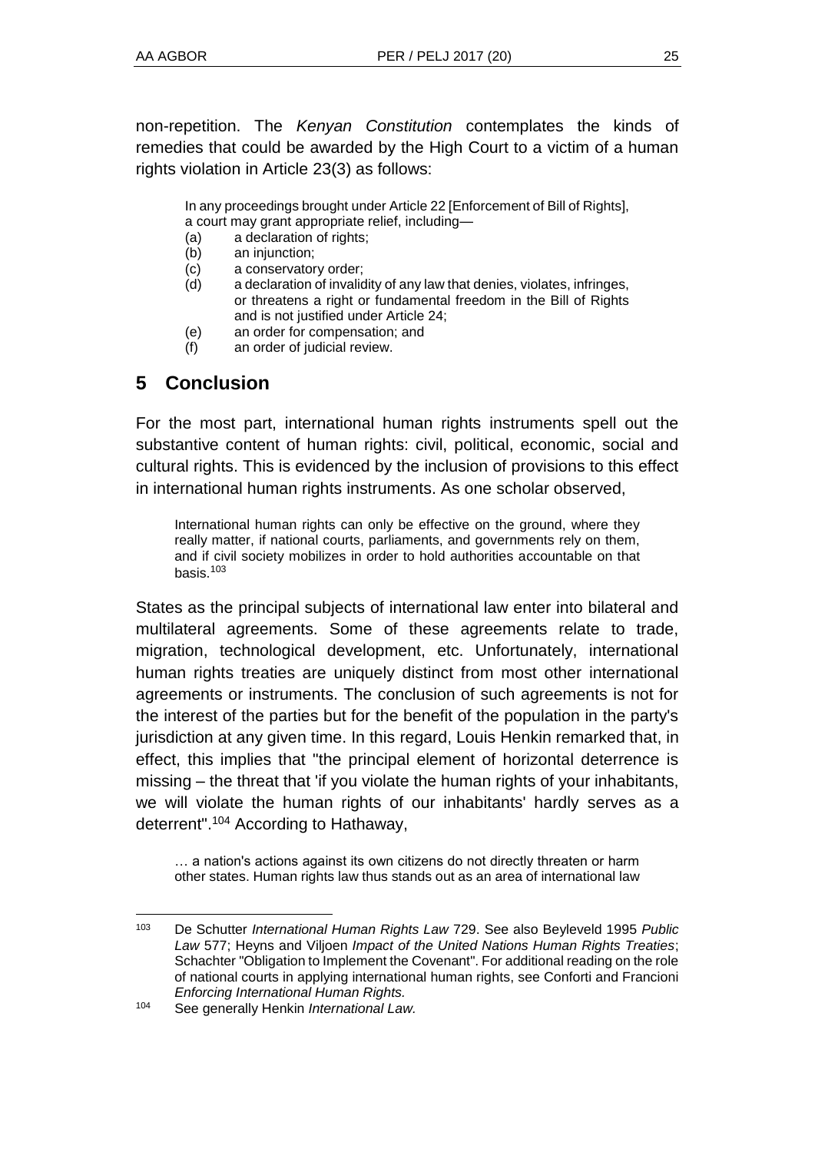non-repetition. The *Kenyan Constitution* contemplates the kinds of remedies that could be awarded by the High Court to a victim of a human rights violation in Article 23(3) as follows:

In any proceedings brought under Article 22 [Enforcement of Bill of Rights], a court may grant appropriate relief, including—

- (a) a declaration of rights;
- (b) an injunction;
- (c) a conservatory order;
- (d) a declaration of invalidity of any law that denies, violates, infringes, or threatens a right or fundamental freedom in the Bill of Rights and is not justified under Article 24;
- (e) an order for compensation; and
- (f) an order of judicial review.

# **5 Conclusion**

For the most part, international human rights instruments spell out the substantive content of human rights: civil, political, economic, social and cultural rights. This is evidenced by the inclusion of provisions to this effect in international human rights instruments. As one scholar observed,

International human rights can only be effective on the ground, where they really matter, if national courts, parliaments, and governments rely on them, and if civil society mobilizes in order to hold authorities accountable on that basis. $103$ 

States as the principal subjects of international law enter into bilateral and multilateral agreements. Some of these agreements relate to trade, migration, technological development, etc. Unfortunately, international human rights treaties are uniquely distinct from most other international agreements or instruments. The conclusion of such agreements is not for the interest of the parties but for the benefit of the population in the party's jurisdiction at any given time. In this regard, Louis Henkin remarked that, in effect, this implies that "the principal element of horizontal deterrence is missing – the threat that 'if you violate the human rights of your inhabitants, we will violate the human rights of our inhabitants' hardly serves as a deterrent".<sup>104</sup> According to Hathaway,

… a nation's actions against its own citizens do not directly threaten or harm other states. Human rights law thus stands out as an area of international law

<sup>103</sup> De Schutter *International Human Rights Law* 729. See also Beyleveld 1995 *Public Law* 577; Heyns and Viljoen *Impact of the United Nations Human Rights Treaties*; Schachter "Obligation to Implement the Covenant". For additional reading on the role of national courts in applying international human rights, see Conforti and Francioni *Enforcing International Human Rights.*

<sup>104</sup> See generally Henkin *International Law.*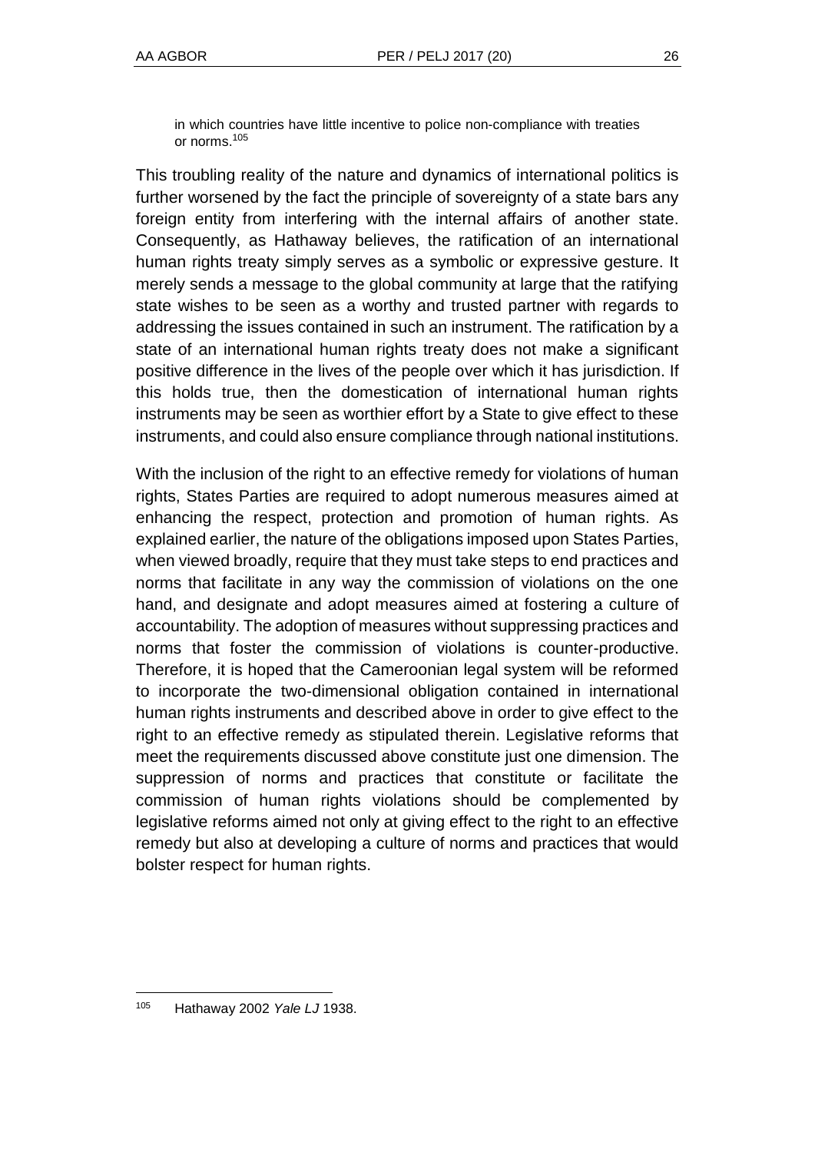in which countries have little incentive to police non-compliance with treaties or norms.<sup>105</sup>

This troubling reality of the nature and dynamics of international politics is further worsened by the fact the principle of sovereignty of a state bars any foreign entity from interfering with the internal affairs of another state. Consequently, as Hathaway believes, the ratification of an international human rights treaty simply serves as a symbolic or expressive gesture. It merely sends a message to the global community at large that the ratifying state wishes to be seen as a worthy and trusted partner with regards to addressing the issues contained in such an instrument. The ratification by a state of an international human rights treaty does not make a significant positive difference in the lives of the people over which it has jurisdiction. If this holds true, then the domestication of international human rights instruments may be seen as worthier effort by a State to give effect to these instruments, and could also ensure compliance through national institutions.

With the inclusion of the right to an effective remedy for violations of human rights, States Parties are required to adopt numerous measures aimed at enhancing the respect, protection and promotion of human rights. As explained earlier, the nature of the obligations imposed upon States Parties, when viewed broadly, require that they must take steps to end practices and norms that facilitate in any way the commission of violations on the one hand, and designate and adopt measures aimed at fostering a culture of accountability. The adoption of measures without suppressing practices and norms that foster the commission of violations is counter-productive. Therefore, it is hoped that the Cameroonian legal system will be reformed to incorporate the two-dimensional obligation contained in international human rights instruments and described above in order to give effect to the right to an effective remedy as stipulated therein. Legislative reforms that meet the requirements discussed above constitute just one dimension. The suppression of norms and practices that constitute or facilitate the commission of human rights violations should be complemented by legislative reforms aimed not only at giving effect to the right to an effective remedy but also at developing a culture of norms and practices that would bolster respect for human rights.

<sup>105</sup> Hathaway 2002 *Yale LJ* 1938.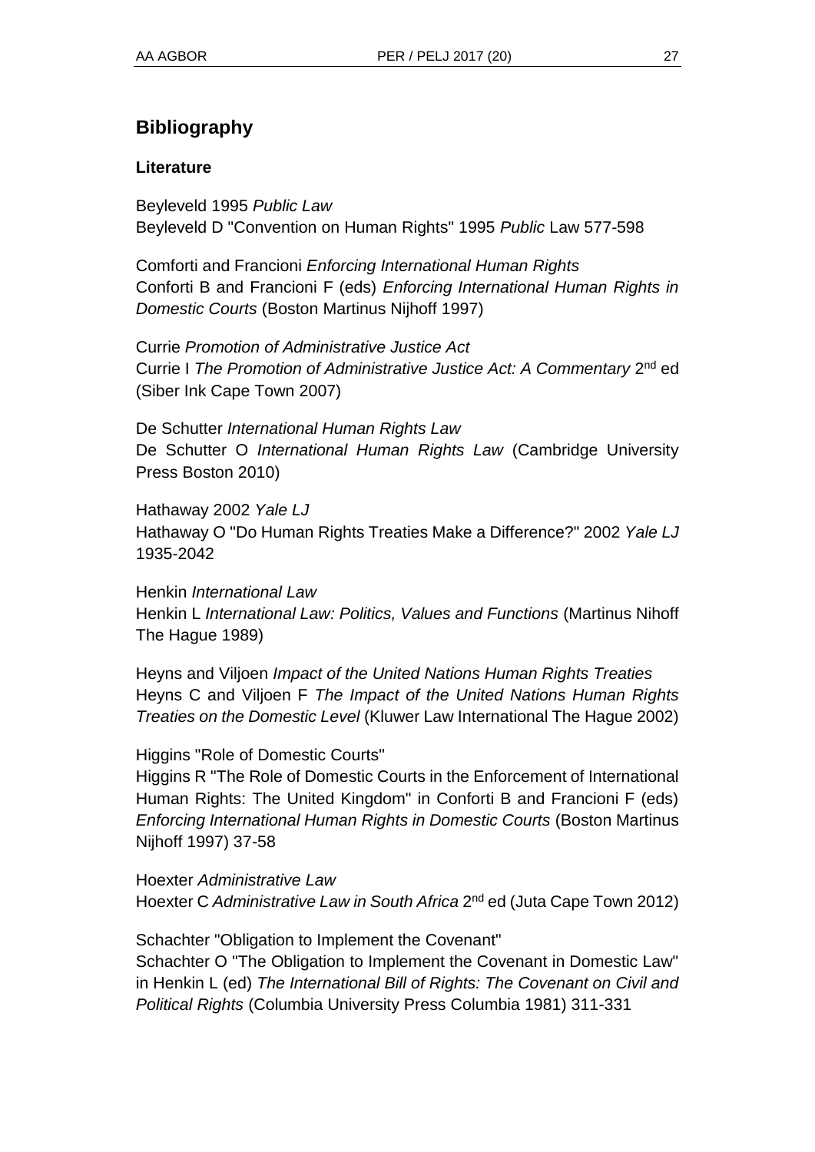## **Bibliography**

#### **Literature**

Beyleveld 1995 *Public Law* Beyleveld D "Convention on Human Rights" 1995 *Public* Law 577-598

Comforti and Francioni *Enforcing International Human Rights* Conforti B and Francioni F (eds) *Enforcing International Human Rights in Domestic Courts* (Boston Martinus Nijhoff 1997)

Currie *Promotion of Administrative Justice Act* Currie I The Promotion of Administrative Justice Act: A Commentary 2<sup>nd</sup> ed (Siber Ink Cape Town 2007)

De Schutter *International Human Rights Law* De Schutter O *International Human Rights Law* (Cambridge University Press Boston 2010)

Hathaway 2002 *Yale LJ* Hathaway O "Do Human Rights Treaties Make a Difference?" 2002 *Yale LJ* 1935-2042

Henkin *International Law* Henkin L *International Law: Politics, Values and Functions* (Martinus Nihoff The Hague 1989)

Heyns and Viljoen *Impact of the United Nations Human Rights Treaties* Heyns C and Viljoen F *The Impact of the United Nations Human Rights Treaties on the Domestic Level* (Kluwer Law International The Hague 2002)

#### Higgins "Role of Domestic Courts"

Higgins R "The Role of Domestic Courts in the Enforcement of International Human Rights: The United Kingdom" in Conforti B and Francioni F (eds) *Enforcing International Human Rights in Domestic Courts* (Boston Martinus Nijhoff 1997) 37-58

Hoexter *Administrative Law* Hoexter C Administrative Law in South Africa 2<sup>nd</sup> ed (Juta Cape Town 2012)

Schachter "Obligation to Implement the Covenant"

Schachter O "The Obligation to Implement the Covenant in Domestic Law" in Henkin L (ed) *The International Bill of Rights: The Covenant on Civil and Political Rights* (Columbia University Press Columbia 1981) 311-331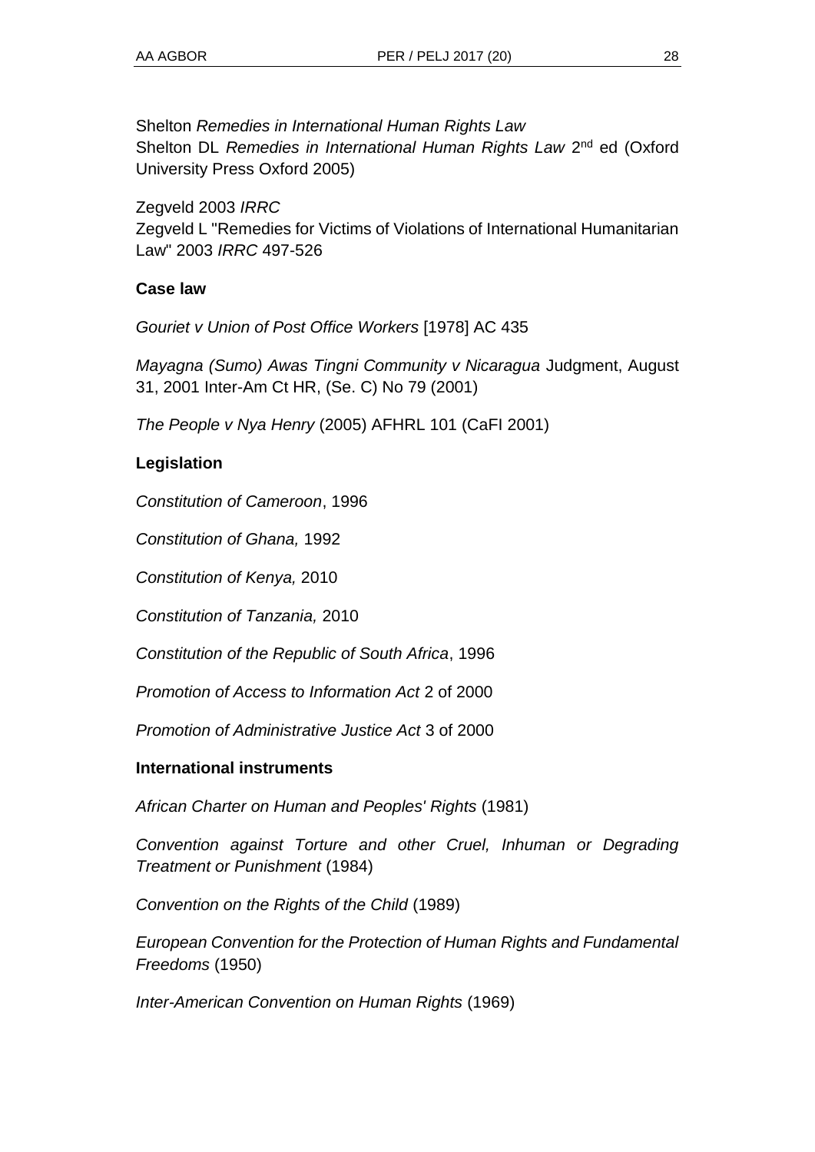Shelton *Remedies in International Human Rights Law* Shelton DL *Remedies in International Human Rights Law* 2<sup>nd</sup> ed (Oxford University Press Oxford 2005)

Zegveld 2003 *IRRC* Zegveld L "Remedies for Victims of Violations of International Humanitarian Law" 2003 *IRRC* 497-526

## **Case law**

*Gouriet v Union of Post Office Workers* [1978] AC 435

*Mayagna (Sumo) Awas Tingni Community v Nicaragua* Judgment, August 31, 2001 Inter-Am Ct HR, (Se. C) No 79 (2001)

*The People v Nya Henry* (2005) AFHRL 101 (CaFI 2001)

## **Legislation**

*Constitution of Cameroon*, 1996

*Constitution of Ghana,* 1992

*Constitution of Kenya,* 2010

*Constitution of Tanzania,* 2010

*Constitution of the Republic of South Africa*, 1996

*Promotion of Access to Information Act* 2 of 2000

*Promotion of Administrative Justice Act* 3 of 2000

## **International instruments**

*African Charter on Human and Peoples' Rights* (1981)

*Convention against Torture and other Cruel, Inhuman or Degrading Treatment or Punishment* (1984)

*Convention on the Rights of the Child* (1989)

*European Convention for the Protection of Human Rights and Fundamental Freedoms* (1950)

*Inter-American Convention on Human Rights* (1969)